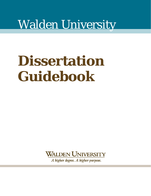# Walden University

# **Dissertation Guidebook**

**WALDEN UNIVERSITY** 

A higher degree. A higher purpose.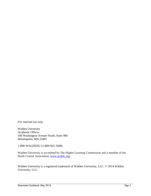*For internal use only.*

Walden University Academic Offices 100 Washington Avenue South, Suite 900 Minneapolis, MN 55401

1-800-WALDENU (1-800-925-3368)

Walden University is accredited by The Higher Learning Commission and a member of the North Central Association, [www.ncahlc.org.](http://www.ncahlc.org/)

Walden University is a registered trademark of Walden University, LLC. © 2014 Walden University, LLC.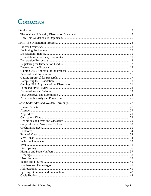# **Contents**

| 44 |
|----|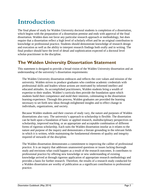## <span id="page-4-0"></span>**Introduction**

The final phase of study for Walden University doctoral students is completion of a dissertation, which begins with the preparation of a dissertation premise and ends with approval of the final dissertation. Walden does not favor any particular research approach or methodology, but does require that a dissertation reflect a high level of scholarly effort and be an original contribution to knowledge or professional practice. Students should demonstrate knowledge of research design and execution as well as the ability to interpret research findings both orally and in writing. The final product should have the level of detail and sophistication expected of a doctoral level scholar-practitioner in the discipline.

### <span id="page-4-1"></span>**The Walden University Dissertation Statement**

This statement is designed to provide a broad vision of the Walden University dissertation and an understanding of the university's dissertation requirements:

The Walden University dissertation embraces and reflects the core values and mission of the university. Walden strives to produce graduates who combine academic credentials with professional skills and leaders whose actions are motivated by informed intellect and educated attitudes. As accomplished practitioners, Walden students bring a wealth of expertise to their studies. Walden's curricula then provide the foundation upon which students build their competence and mold their interests, culminating in the dissertation learning experience. Through this process, Walden graduates are provided the learning necessary to set forth new ideas through enlightened insights and to effect change in individuals, organizations, and society.

Because Walden students and their courses of study vary, the nature and purposes of Walden dissertations also vary. The university's approach to scholarship is flexible. The dissertation can be built upon a foundation of basic or applied research, multidisciplinary perspectives on scholarship, improved teaching, or an appropriate and acceptable combination of different forms of rigorous scholarship. Each suits the Walden dissertation insofar as it relates to the nature and purpose of the inquiry and demonstrates a literate grounding in the relevant fields in which it is written, while maintaining the fundamental elements of quality and integrity required of stewards of the discipline.

The Walden dissertation demonstrates a commitment to improving the caliber of professional practice. It is an inquiry that addresses unanswered questions or issues lacking thorough study and envisions what could happen as a result of the research outcomes. It contributes to professional practice by offering new knowledge or new understanding of existing knowledge arrived at through rigorous application of appropriate research methodology and provides a basis for further research. Therefore, the results of a research study conducted for a Walden dissertation are worthy of publication as a significant contribution to professional practice.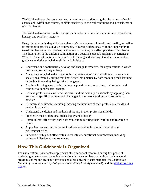The Walden dissertation demonstrates a commitment to addressing the phenomena of social change and, within that context, exhibits sensitivity to societal conditions and a consideration of social issues.

The Walden dissertation confirms a student's understanding of and commitment to academic honesty and scholarly integrity.

Every dissertation is shaped by the university's core values of integrity and quality, as well as its mission: to provide a diverse community of career professionals with the opportunity to transform themselves as scholar-practitioners so that they can effect positive social change. The dissertation is the unifying culmination of a doctoral student's academic experience at Walden. The most important outcome of all teaching and learning at Walden is to produce graduates with the knowledge, skills, and abilities to:

- Understand and continuously develop and change themselves, the organizations in which they work, and society at large.
- Create new knowledge dedicated to the improvement of social conditions and to impact society positively by putting that knowledge into practice by both modeling their learning through action and by being civically engaged.
- Continue learning across their lifetimes as practitioners, researchers, and scholars and continue to impact social change.
- Achieve professional excellence as active and influential professionals by applying their learning to specific problems and challenges in their work settings and professional practice.
- Be information literate, including knowing the literature of their professional fields and reading it critically.
- Understand the design and methods of inquiry in their professional fields.
- Practice in their professional fields legally and ethically.
- Communicate effectively, particularly in communicating their learning and research to others.
- Appreciate, respect, and advocate for diversity and multiculturalism within their professional fields.
- Function flexibly and effectively in a variety of educational environments, including online and distributed environments.

### <span id="page-5-0"></span>**How This Guidebook Is Organized**

The *Dissertation Guidebook* complements other important resources during this phase of students' graduate career, including their dissertation supervisory committee, their academic program leaders, the academic advisors and other university staff members, the *Publication Manual of the American Psychological Association* (APA style manual), and the [Walden Writing](http://writingcenter.waldenu.edu/)  [Center.](http://writingcenter.waldenu.edu/)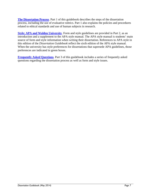**[The Dissertation Process](#page-7-0)**. Part 1 of this guidebook describes the steps of the dissertation process, including the use of evaluative rubrics. Part 1 also explains the policies and procedures related to ethical standards and use of human subjects in research.

**[Style: APA and Walden University](#page-26-0)**. Form and style guidelines are provided in Part 2, as an introduction and a supplement to the APA style manual. The APA style manual is students' main source of form and style information when writing their dissertation. References to APA style in this edition of the *Dissertation Guidebook* reflect the sixth edition of the APA style manual. When the university has style preferences for dissertations that supersede APA guidelines, those preferences are indicated in green boxes.

**[Frequently Asked Questions](#page-50-0)**. Part 3 of this guidebook includes a series of frequently asked questions regarding the dissertation process as well as form and style issues.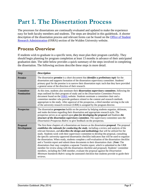# <span id="page-7-0"></span>**Part 1. The Dissertation Process**

The processes for dissertations are continually evaluated and updated to make the experience easy for both faculty members and students. The steps are detailed in this guidebook. A shorter description of the dissertation process and relevant forms can be found on the [Office of Student](http://researchcenter.waldenu.edu/PhD-Dissertation-Program.htm)  [Research Administration](http://researchcenter.waldenu.edu/PhD-Dissertation-Program.htm) (OSRA) section of the Walden University website.

### <span id="page-7-1"></span>**Process Overview**

If students wish to graduate in a specific term, they must plan their program carefully. They should begin planning for program completion at least 13 months in advance of their anticipated graduation date. The table below provides a quick summary of the steps involved in completing the dissertation. The following sections describe these steps in more detail.

| <b>Step</b>                           | <b>Description</b>                                                                                                                                                                                                                                                                                                                                                                                                                                                                                                                                                                                                                                                                                                                                                                                                                                                                                                                                                                                                                                                                                     |
|---------------------------------------|--------------------------------------------------------------------------------------------------------------------------------------------------------------------------------------------------------------------------------------------------------------------------------------------------------------------------------------------------------------------------------------------------------------------------------------------------------------------------------------------------------------------------------------------------------------------------------------------------------------------------------------------------------------------------------------------------------------------------------------------------------------------------------------------------------------------------------------------------------------------------------------------------------------------------------------------------------------------------------------------------------------------------------------------------------------------------------------------------------|
| <b>Premise</b>                        | The dissertation <b>premise</b> is a short document that <i>identifies a preliminary topic</i> for the<br>dissertation and supports formation of the dissertation supervisory committee. Students'<br>primary goal for the premise is to narrow their dissertation topic such that they have provided<br>a general sense of the direction of their research.                                                                                                                                                                                                                                                                                                                                                                                                                                                                                                                                                                                                                                                                                                                                           |
| <b>Committee</b><br><b>Nomination</b> | At this time, students also nominate their dissertation supervisory committee, following the<br>steps outlined for their program of study and in the Dissertation Committee Process<br>document found on the <b>OSRA</b> website. Students nominate a committee chair and a<br>committee member who provide guidance related to the content and research methods<br>appropriate to the study. After approval of the prospectus, a third member serving in the role<br>of the university research reviewer (URR) is assigned by the program director.                                                                                                                                                                                                                                                                                                                                                                                                                                                                                                                                                   |
| <b>Prospectus</b>                     | The dissertation <b>prospectus</b> builds on the premise by helping students organize, delineate,<br>and make decisions regarding their dissertation and appropriate research style. The<br>prospectus serves as an agreed-upon plan for developing the proposal and finalizes the<br>structure of the dissertation supervisory committee. The supervisory committee uses the<br>Dissertation Prospectus Rubric to give feedback on the prospectus.                                                                                                                                                                                                                                                                                                                                                                                                                                                                                                                                                                                                                                                    |
| <b>Proposal</b><br><b>Development</b> | The first three chapters of a dissertation are known as the dissertation <b>proposal</b> . The proposal<br>establishes the rationale for conducting the study, including a review and analysis of the<br>relevant literature, and <i>describes the design and methodology</i> that will be utilized for the<br>study. Students work with their supervisory committee to develop the proposal, consulting<br>the specific university-approved dissertation checklist indicators that will be used to organize<br>the dissertation. When ready, students complete a self-evaluation of the dissertation checklist<br>and a Turnitin report and submit these documents to their dissertation chair. (Note: The<br>dissertation chair may complete a separate Turnitin report, which is submitted to the URR<br>member for review along with the dissertation checklist and proposal). Students' committee<br>members, including the URR member, evaluate the proposal against the Dissertation<br>Minimum Standards Rubric using the annotated checklist that students provide to guide their<br>reviews. |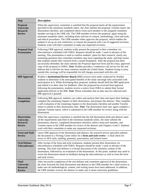| <b>Step</b>                                                                  | <b>Description</b>                                                                                                                                                                                                                                                                                                                                                                                                                                                                                                                                                                                                                                                                                                                                                                                                                                                      |
|------------------------------------------------------------------------------|-------------------------------------------------------------------------------------------------------------------------------------------------------------------------------------------------------------------------------------------------------------------------------------------------------------------------------------------------------------------------------------------------------------------------------------------------------------------------------------------------------------------------------------------------------------------------------------------------------------------------------------------------------------------------------------------------------------------------------------------------------------------------------------------------------------------------------------------------------------------------|
| <b>Proposal</b><br>University<br><b>Research</b><br><b>Review</b>            | When the supervisory committee is satisfied that the proposal meets all the requirements<br>specified in the minimum standards rubric, the chair submits the proposal, Turnitin report, the<br>dissertation checklist, and completed rubrics from each member to the assigned committee<br>member serving in the URR role. The URR member reviews the proposal, again using the<br>minimum standards rubric, including items relevant to content, methodology, form and style,<br>and ethical procedures. The URR member either approves the proposal, which enables the<br>student to set up an oral conference, or returns the proposal with a set of suggested revisions.<br>Students work with their committee to make any requested revisions.                                                                                                                     |
| <b>Proposal Oral</b><br><b>Presentation</b>                                  | Following URR approval, students orally present the proposal to their committee via<br>teleconference scheduled with OSRA. Requests should be made 1 week in advance of the<br>meeting. This presentation is used to confirm students' plans for their research, clarify any<br>remaining questions that committee members may have regarding the study, and help ensure<br>that students initiate their research from a sound foundation. After the proposal has been<br>successfully defended, the chair submits the <i>Proposal Approval</i> form and the clean, approved<br>copy of the proposal to OSRA. Note: Walden provides a conference call service for the oral<br>defense that is toll-free for most countries outside the United States. Students living in areas<br>outside this coverage will be responsible for toll charges associated with this call. |
| <b>IRB Approval</b>                                                          | Walden's Institutional Review Board (IRB) reviews each study conducted by Walden<br>students to determine if the anticipated benefits of the study outweigh risks associated with<br>participation in it. While developing their proposal, students should draft the IRB application<br>and submit it to their chair for feedback. After the proposal has received final approval<br>following the presentation, students receive a notice from OSRA to submit their formal<br>application directly to the IRB. Note: Please remember that no data may be collected until<br>IRB approval is granted.                                                                                                                                                                                                                                                                   |
| <b>Dissertation</b><br>Completion                                            | Following IRB approval, students can collect and analyze their data and report their findings,<br>complete the remaining chapters of their dissertation, and prepare the abstract. They complete<br>a self-evaluation of the remaining chapters in the dissertation checklist and another Turnitin<br>report to submit to their dissertation chair. Note: The dissertation chair may again complete a<br>separate Turnitin report, which is submitted to the URR member for review along with the<br>dissertation.                                                                                                                                                                                                                                                                                                                                                      |
| <b>Dissertation</b><br><b>University</b><br><b>Research</b><br><b>Review</b> | When the supervisory committee is satisfied that the full dissertation draft and abstract meet<br>all the requirements specified in the minimum standards rubric, the chair submits the<br>dissertation, abstract, completed dissertation checklist, rubrics from each member, and<br>Turnitin report to the URR member for review of the abstract and Chapters 4 and 5. Students<br>work with their committee to make any requested revisions.                                                                                                                                                                                                                                                                                                                                                                                                                         |
| <b>Form and Style</b><br><b>Review</b>                                       | Upon URR approval of the dissertation and abstract, the research service specialist submits<br>the document to a Writing Center editor for a form and style review—a final check for<br>errors in APA style, spelling, grammar, punctuation, and related issues.                                                                                                                                                                                                                                                                                                                                                                                                                                                                                                                                                                                                        |
| <b>Oral Defense</b><br><b>Teleconference</b>                                 | After receipt of the form and style evaluation, students present their dissertation via<br>teleconference scheduled with OSRA. Requests should be made 1 week in advance of the<br>meeting. This final oral defense is a formal discussion of the scholarly content of the<br>dissertation, followed by an evaluation of the dissertation. At this point, students may need to<br>revise the dissertation based on feedback during the teleconference as well as from the form<br>and style review.                                                                                                                                                                                                                                                                                                                                                                     |
| <b>Final</b><br>University<br><b>Research</b><br><b>Review</b>               | After successful completion of the oral defense and committee approval of the dissertation,<br>the chair forwards the final dissertation and abstract to the URR member for a final review to<br>make sure all methodological, content, and writing issues have been addressed. In addition,<br>the URR member reviews the abstract to make sure it meets university guidelines.                                                                                                                                                                                                                                                                                                                                                                                                                                                                                        |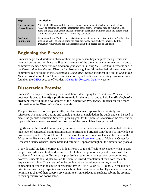| <b>Step</b>                                    | <b>Description</b>                                                                                                                                                                                                                                                                                                                                |  |
|------------------------------------------------|---------------------------------------------------------------------------------------------------------------------------------------------------------------------------------------------------------------------------------------------------------------------------------------------------------------------------------------------------|--|
| <b>Chief Academic</b><br><b>Officer Review</b> | After final URR approval, the abstract is sent to the university's chief academic officer<br>(CAO) or designee as a final endorsement of the study. Revisions may be required at this<br>point, and these changes are facilitated through consultation with the chair and others. Upon<br>CAO approval, the dissertation is officially completed. |  |
| <b>ProQuest</b><br><b>Submission</b>           | To graduate from Walden University, students must submit their dissertation to ProQuest for<br>publishing. After this submission has been approved, students have completed all the<br>graduation requirements for the dissertation and their degree can be validated.                                                                            |  |

### <span id="page-9-0"></span>**Beginning the Process**

Students begin the dissertation phase of their program when they complete their premise and then prospectus and nominate the first two members of the dissertation committee: a chair and a committee member. Students can find more guidance in *Starting the Dissertation Process* and in the *Dissertation Premise* and *Dissertation Prospectus* guides. More detailed information on the committee can be found in the *Dissertation Committee Process* document and on the *Committee Member Nomination* form*.* These documents, forms, and additional supporting resources can be found on the **[OSRA](http://researchcenter.waldenu.edu/PhD-Dissertation-Program.htm)** section of Walden's **Center for Research Quality** website.

### <span id="page-9-1"></span>**Dissertation Premise**

Students' first step to completing the dissertation is developing the *Dissertation Premise*. This document is used to *identify a preliminary topic* for the research and to help *identify the faculty members* who will guide development of the *Dissertation Prospectus*. Students can find more information in the *Dissertation Premise* guide.

The premise consists of four parts: title, problem statement, approach for the study, and references. An annotated outline and sample premise are included in the guide and can be used to create the premise document. Students' primary goal for the premise is to narrow the dissertation topic such that a general sense of the direction of the research has been provided.

Significantly, the foundation for quality in every dissertation is a research question that reflects a high level of conceptual manipulation and a significant and original contribution to knowledge or professional practice. A brief litmus test of doctoral level research problem can be found in the *Dissertation Premise* guide as well as on the [Research Resources](http://researchcenter.waldenu.edu/Research-Resources.htm) page of Walden's Center for Research Quality website. These basic indicators will appear throughout the dissertation process.

Every doctoral student's journey is a little different, so it is difficult to say exactly when to start the premise. All students should be sure to check their program of study and consult with the Academic Advising team. Because the premise is used to form their supervisory committee, however, students should plan to start the premise toward completion of their core research sequence and at least 2 quarters before beginning the dissertation prospectus, either in a companion or dissertation course or research form (SBSF 7100 or EDUC 8800). In the quarter prior to starting their prospectus, students submit their premise to the faculty member whom they nominate as chair of their supervisory committee (some Education students submit the premise to their specialization coordinator).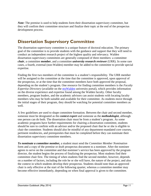*Note:* The premise is used to help students form their dissertation supervisory committee, but they will confirm their committee structure and finalize their topic at the end of the prospectus development process.

### <span id="page-10-0"></span>**Dissertation Supervisory Committee**

The dissertation supervisory committee is a unique feature of doctoral education. The primary goal of the committee is to provide students with the guidance and support that they will need to conduct an independent research project of the highest quality and relevancy. Walden dissertation supervisory committees are generally composed of three members: a committee *chair*, a committee *member*, and a committee *university research reviewer* (URR). In some rare cases, a fourth, external (non-Walden) member may be added to the committee to provide special expertise.

Finding the first two members of the committee is a student's responsibility. The URR member will be assigned to the committee at the time that the committee is approved, upon approval of the prospectus, or at the time that the committee members have both approved the proposal, depending on the student's program. One resource for finding committee members is the *Faculty Expertise Directory* (available on the [myWalden](http://www.waldenu.edu/experience/resources/mywalden) university portal), which provides information on the diverse experience and expertise found among the Walden faculty. Other faculty members, program leaders, and the academic advisors can assist students with locating faculty members who may be both suitable and available for their committee. As students move through the initial stages of their program, they should be watching for potential committee members as well.

A few guidelines are used to shape committee formation. Between the chair and second member, someone must be designated as the *context expert* and someone as the *methodologist,* although one person can do both. The dissertation chair must be from a student's program. As some academic programs have further requirements for chairing a dissertation committee, students should be sure to confirm with an advisor and/or the proposed chair that he or she is eligible to chair the committee. Students should also be mindful of any department-mandated core courses, pertinent residencies, and prerequisites that must be completed before they can nominate their dissertation supervisory committee members.

*To nominate a committee member,* a student must send the *Committee Member Nomination*  form and a copy of the premise or draft prospectus document to a nominee. After the nominee agrees to serve on the committee and that nominee's service has been approved by the program director, the student begins the process of finalizing the prospectus. Most students find their committee chair first. The timing of when students find the second member, however, depends on a number of factors, including the role he or she will have, the nature of the project, and also the context in which students develop their prospectus. Students should note than an approved chair is only effective at the start of the following quarter, whereas a committee member may become effective immediately, depending on when final approval is given to the committee.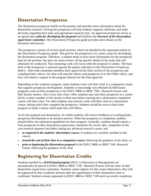### <span id="page-11-0"></span>**Dissertation Prospectus**

The dissertation prospectus builds on the premise and provides more information about the dissertation research. Writing the prospectus will help students organize, delineate, and make decisions regarding their topic and appropriate research style. An approved prospectus serves as an agreed-upon *plan for developing the proposal* and finalizes the *structure of the dissertation supervisory committee*. The *Dissertation Prospectus* guide provides more details on the document and process.

The prospectus consists of several small sections, which are detailed in the annotated outline in the *Dissertation Prospectus* guide*.* The goal for the prospectus is to create a plan for developing the dissertation proposal. Therefore, a student needs to have more information for the prospectus than for the premise, but does not need to know all the specific details of the study that will ultimately be conducted. That remaining work will occur when the proposal is written. The final draft of the prospectus is assessed against the quality indicators in the *Dissertation Prospectus Rubric.* After both committee members have approved the final version of the prospectus and completed their rubrics, the chair will send the rubrics and prospectus in to the OSRA office, and they will submit a request to the program director for the final approval.

Depending on the academic program, some students work with their chair in a companion course that supports prospectus development. Students in Knowledge Area Module (KAM)-based programs work on their prospectus in the EDUC 8800 or SBSF 7100 - Research Forum with their faculty mentor, who is now their chair. Other students may start their prospectus in a course led by a senior member of the faculty in their area before moving into a dissertation completion course with their chair. Yet other students may directly work with their chair in a dissertation course, during which they complete the prospectus. Students should be sure to check their program of study to know which path they will follow.

As for the proposal and dissertation, for which students will receive feedback on working drafts, prospectus development is an iterative process. When the prospectus is completed, students should follow the submission guidelines for their program. Generally, students should submit a final prospectus to their dissertation supervisory committee for review *after* completion of the core research sequence but *before* taking any advanced research course, and

- *as required in the students' dissertation course,* if students are currently enrolled in this course;
- *toward the end of their time in a companion course,* following the guidance of the chair; or,
- *prior to beginning the dissertation proposal* in the EDUC 8800 or SBSF 7100 -Research Forum, following the guidance of the chair.

### <span id="page-11-1"></span>**Registering for Dissertation Credits**

Students enrolled in a *KAM-based program* (Ph.D. in Education or Management) are automatically be placed in EDUC 8800 or SBSF 7100 - Research Forum with the chair of their dissertation supervisory committee. Students cannot register for this course themselves; they will be registered by their academic advisors after the appointment of their dissertation chair is confirmed. Students remain registered in EDUC 8800 or SBSF 7100 until successful completion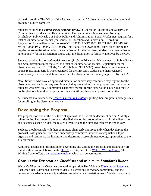of the dissertation. The Office of the Registrar assigns all 20 dissertation credits when the final academic audit is complete.

Students enrolled in a *course-based program* (Ph.D. in Counselor Education and Supervision, Criminal Justice, Education, Health Services, Human Services, Management, Nursing, Psychology, Public Health, or Public Policy and Administration, Social Work) must register for a total of 20 dissertation credits (for Counselor Education and Supervision: 12 credits). Registration for the dissertation course (COUN 8650, EDUC 9001, HLTH 9001, HUMN 9001, MGMT 9000, PSYC 9000, PUBH 9001, PPPA 9000, or SOCW 9000) takes place during the regular course registration period. Once registered for the first term, students are then registered automatically for the dissertation course until the dissertation is formally approved by the CAO.

Students enrolled in a *mixed-model program* (Ph.D. in Education, Management, or Public Policy and Administration) must register for a total of 20 dissertation credits. Registration for the dissertation course (EDUC 9002, MGMT 9000, or PPPA 9000) takes place during the regular course registration period. Once registered for the first term, students are then registered automatically for the dissertation course until the dissertation is formally approved by the CAO.

*Note:* Students who have an approved dissertation supervisory committee may register for the dissertation course during any term in which they are working on the proposal and dissertation. Students who have only a committee chair may register for the dissertation course, but they will not be able to submit their proposal for review until they have an approved committee.

All students should check the *[Walden University Catalog](http://catalog.waldenu.edu/)* regarding their program's prerequisites for enrolling in the dissertation course.

### <span id="page-12-0"></span>**Developing the Proposal**

The proposal consists of the first three chapters of the dissertation document and an APA style reference list. The proposal presents a detailed plan of the proposed research for the dissertation and describes a specific idea, the related literature, and the intended research methodology.

Students should consult with their committee chair early and frequently when developing the proposal. With guidance from their supervisory committee, students conceptualize a topic, organize and synthesize the literature, and determine a research methodology appropriate to the subject matter.

Additional details and information on developing and writing the proposal and dissertation are found within this guidebook, on the [OSRA](http://researchcenter.waldenu.edu/Office-of-Student-Research-Support.htm) website, and at the [Walden Writing Center.](http://writingcenter.waldenu.edu/) The Writing Center offers a *dissertation template*, which can be very useful.

### **Consult the** *Dissertation Checklists* **and** *Minimum Standards Rubric*

Walden's *Dissertation Checklists* are used to operationalize Walden's [Dissertation Statement.](#page-4-1) Each checklist is designed to assist students, dissertation supervisory committees, and the university's academic leadership to determine whether a dissertation meets Walden's standards.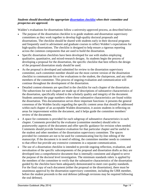#### *Students should download the appropriate [dissertation checklist](http://researchcenter.waldenu.edu/PhD-Dissertation-Process-and-Documents.htm) when their committee and prospectus are approved.*

Walden's evaluations for dissertations follow a university-approved process, as described below:

- The purpose of the dissertation checklist is to guide students and dissertation supervisory committees as they work together to develop high-quality doctoral proposals and dissertations. The checklist should be shared with students early in their doctoral programs and frequently used in advisement and graduate courses to reflect Walden's expectations for high-quality dissertations. The checklist is designed to help ensure a rigorous reporting across the common components that are used to build the dissertation.
- Specific dissertation checklists have been developed for use with studies employing qualitative, quantitative, and mixed-research designs. As students begin the process of developing a proposal for the dissertation, the specific checklist that best reflects the design of the proposed dissertation study should be used.
- As the proposal is developed and submitted for review to the dissertation supervisory committee, each committee member should use the most current version of the dissertation checklist to communicate his or her evaluations to the student, the chairperson, and any other members of the committee. This process of ongoing evaluation and communication will continue throughout the development of the dissertation.
- Detailed content elements are specified in the checklist for each chapter of the dissertation. The subsections for each chapter are made up of descriptions of substantive characteristics of the dissertation, specifically related to the scholarly quality and integrity of the document. Students annotate the page numbers where these substantive characteristics are found within the dissertation. This documentation serves three important functions: it presents the general consensus of the Walden faculty regarding the specific content areas that should be addressed within each chapter of an acceptable Walden dissertation, it assists students in reflecting on areas for improvement within the document, and it helps guide the committee members' review of the documents.
- A space for comments is provided for each subgroup of substantive characteristics in each chapter. Comments provided by the evaluator (committee member) should refer to praiseworthy aspects of the document and offer specific guidance for revision when needed. Comments should provide formative evaluation for that particular chapter and be useful to the student and other members of the dissertation supervisory committee. The spaces provided for comment are not to be used for communicating line-by-line editing of the manuscript. If the document is in need of editing, the committee member needs to comment to that effect but provide any extensive comments in a separate communication.
- The use of a dissertation checklist is intended to provide ongoing reflection, evaluation, and reevaluation of the specific subcomponents of the proposal and dissertation drafts as they are developed into a comprehensive document that is internally consistent and aligned to serve the purpose of the doctoral level investigation. The minimum standards rubric is applied by the members of the committee to verify that the substantive characteristics of the dissertation guided by the checklist have been adequately demonstrated to meet core quality standards. For the final copy of each document (either the proposal or the dissertation), there must be unanimous approval by the dissertation supervisory committee, including the URR member, before the student proceeds to the oral defense (although revisions may be required following the oral defense).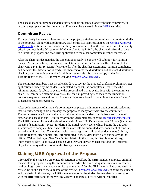The checklist and minimum standards rubric will aid students, along with their committee, in writing the proposal for the dissertation. Forms can be accessed via the [OSRA](http://researchcenter.waldenu.edu/PhD-Dissertation-Process-and-Documents.htm) website.

### **Committee Review**

To help clarify the research framework for the project, a student's committee chair reviews drafts of the proposal, along with a preliminary draft of the IRB application (see the [Getting Approval](#page-16-0)  [for Research](#page-16-0) section for more about the IRB). When satisfied that the documents meet university criteria outlined in the *Dissertation Minimum Standards Rubric*, the chair authorizes the student to submit the proposal and draft IRB application to the other committee member for review.

After the chair has deemed that the dissertation is ready, he or she will submit it for Turnitin review. At the same time, the student completes and submits a Turnitin self-evaluation to the chair, with a plan for revisions if warranted. After the chair has determined Turnitin compliance and believes the dissertation is ready, the chair forwards the dissertation and abstract, dissertation checklist, each committee member's minimum standards rubric, and a copy of the formal Turnitin report to the URR member, copying [research@waldenu.edu.](mailto:research@waldenu.edu)

The committee members have 14 calendar days to review the proposal draft and preliminary IRB application. Guided by the student's annotated checklist, the committee member uses the minimum standards rubric to evaluate the proposal and shares evaluations with the committee chair. The committee member may assist the chair in providing feedback to the student on revisions requested; an additional 14 calendar days are allotted to committee members for *each* subsequent round of revisions.

After both members of a student's committee completes a minimum standards rubric reflecting that no further changes are necessary, the proposal is ready for review by the committee URR. The committee chair forwards the proposal, a minimum standards rubric from each member, dissertation checklist, and Turnitin report to the URR member, copying [research@waldenu.edu.](mailto:research@waldenu.edu) The URR member, form and style editors, and CAO or CAO's designee have 14 days (including the day of submission—except for during the initial review cycle, which begins the day after submission) to complete their review. If the materials are submitted after noon Central time, an extra day will be added. The review cycle cannot begin until all required documents (rubrics, Turnitin reports, clean copies, etc.) are submitted. If the review takes place during any of the official Walden holidays (New Year's Day; Martin Luther King, Jr. Day; Memorial Day; Independence Day; Labor Day; Thanksgiving Day and day after Thanksgiving; or Christmas Day), the holiday will not count in the 14-day review cycle.

### <span id="page-14-0"></span>**Gaining URR Approval of the Proposal**

Informed by the student's annotated dissertation checklist, the URR member completes an initial review of the proposal using the minimum standards rubric, including items relevant to content, methodology, form and style, and ethical procedures. After the URR member has completed the review, he or she sends the outcome of the review to [research@waldenu.edu,](mailto:research@waldenu.edu) copying the student and the chair. At this stage, the URR member can refer the student for mandatory consultation with the IRB office and/or the Writing Center to address ethical or writing concerns,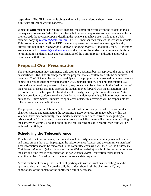respectively. The URR member is obligated to make these referrals should he or she note significant ethical or writing concerns.

When the URR member has requested changes, the committee works with the student to make the requested revisions. When the chair feels that the necessary revisions have been made, he or she forwards the revised proposal detailing the revisions that have been made to the URR member, copying [research@waldenu.edu.](mailto:research@waldenu.edu) The URR member then reviews the revised materials. This process continues until the URR member approves the proposal as meeting university criteria outlined in the *Dissertation Minimum Standards Rubric*. At that point, the URR member sends an e-mail to [research@waldenu.edu](mailto:research@waldenu.edu) and the chair of the student's committee with his or her minimum standards rubric and confirmation of the Turnitin report indicating approval to commence with the oral defense.

### <span id="page-15-0"></span>**Proposal Oral Presentation**

The oral presentation may commence only after the URR member has approved the proposal and has notified OSRA. The student presents the proposal via teleconference with the committee members. The URR member will not participate in the proposal oral presentation unless there are compelling reasons that necessitate that the URR member attends. The oral presentation is a formal discussion of the proposal to identify any concerns to be addressed in the final version of the proposal or issues that may arise as the student moves forward with the dissertation. The teleconference, which is paid for by Walden University, is led by the committee chair. *Note:* Walden provides a conference call service for the oral defense that is toll-free for most countries outside the United States. Students living in areas outside this coverage will be responsible for toll charges associated with this call.

The proposal oral presentation must be recorded. Instructions are provided to the committee chair for starting and terminating the recording. Teleconferences are made public within the Walden University community; the e-mailed reservation includes instructions regarding a privacy option. Upon request, the research service specialist can e-mail a link to the recording of the conference within 72 hours of holding the call. Recordings of teleconference calls will be archived for 30 days.

### **Scheduling the Teleconference**

To schedule the teleconference, the student should identify several commonly available dates and times among those participating in the teleconference (student and the committee members). That information should be forwarded to the committee chair who will then use the *Conference Call Reservation* form (which is located on the Walden website) to submit the request to reserve the date and time that is convenient for the participants. *Note:* Reservation forms must be submitted at least 1 week prior to the teleconference date requested.

A confirmation of the request is sent to all participants with instructions for calling in at the appointed date and time. Before the call, the student should ask the chair to clarify any expectations of the content of the conference call, if necessary.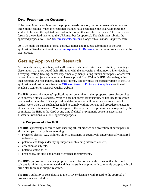### **Oral Presentation Outcome**

If the committee determines that the proposal needs revision, the committee chair supervises these modifications. When the requested changes have been made, the chair authorizes the student to forward the updated proposal to the committee member for review. The chairperson forwards the revised version to the URR member for approval. The chair then submits the approved proposal to OSRA [\(research@waldenu.edu\)](mailto:research@waldenu.edu), along with a *Proposal Approval* form*.* 

OSRA e-mails the student a formal approval notice and requests submission of the IRB application. See the next section, [Getting Approval for Research,](#page-16-0) for more information about the IRB process.

### <span id="page-16-0"></span>**Getting Approval for Research**

All students, faculty members, and staff members who undertake research studies, including a dissertation, that grow out of their affiliation with the university or that involve interviewing, surveying, testing, treating, and/or experimentally manipulating human participants or archival data on human subjects are required to have approval from Walden's IRB prior to beginning their research. All researchers, including students, can download the current version of the IRB application and instructions from the [Office of Research Ethics and Compliance](http://researchcenter.waldenu.edu/Office-of-Research-Ethics-and-Compliance-IRB.htm) section of Walden's Center for Research Quality website.

The IRB reviews all students' applications and determines if their proposed research complies with accepted ethical standards. Walden does not accept responsibility or liability for research conducted without the IRB's approval, and the university will not accept or grant credit for student work where the student has failed to comply with its policies and procedures related to ethical standards in research. *Note:* A repeat of the proposal URR process can be required by the committee, the IRB, or the CAO at any time if ethical or pragmatic concerns necessitate substantial revisions to a URR-approved proposal.

### **The Purpose of the IRB**

The IRB is primarily concerned with ensuring ethical practice and protection of participants in all studies, particularly those involving

- protected classes (e.g., children, elderly, prisoners, or cognitively and/or mentally impaired individuals),
- potential challenges identifying subjects or obtaining informed consent,
- deception of subjects,
- potential coercion, or
- personality, attitude, and gender preference measurements.

The IRB's purpose is to evaluate proposed data collection methods to ensure that the risk to subjects is minimized or eliminated and that the study complies with commonly accepted ethical principles for human subject research.

The IRB's authority is consultative to the CAO, or designee, with regard to the approval of proposed research studies.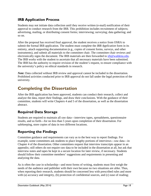### **IRB Application Process**

Students may not initiate data collection until they receive written (e-mail) notification of their approval to conduct research from the IRB. This prohibition includes recruitment of subjects; advertising, mailing, or distributing consent forms; interviewing; surveying; data gathering; and so on.

After the proposal has received final approval, the student receives a notice from OSRA to submit the formal IRB application. The student must complete the *IRB Application* form in its entirety, attach supporting documentation (e.g., copies of consent forms, surveys, and other instruments), and submit all materials to the committee chair. The committee chair reviews and electronically signs the document. The IRB materials are then forwarded to [irb@waldenu.edu.](mailto:irb@waldenu.edu) The IRB works with the student to ascertain that all necessary materials have been submitted. The IRB has the authority to require revision of the student's request, to ensure compliance with the university's policy on ethical standards in research.

*Note:* Data collected without IRB review and approval cannot be included in the dissertation. Prohibited activities conducted prior to IRB approval do not fall under the legal protection of the university.

### <span id="page-17-0"></span>**Completing the Dissertation**

After the IRB application has been approved, students can conduct their research, collect and analyze the data, report their findings, and draw their conclusions. With the guidance of their committee, students will write Chapters 4 and 5 of the dissertation, as well as the dissertation abstract.

### **Required Data Storage**

Students are required to maintain all raw data—interview tapes, spreadsheets, questionnaire results, and so forth—for no less than 5 years upon completion of their dissertation. For safekeeping, store copies of data in two different locations.

### **Reporting the Findings**

Committee guidance and requirements can vary as to the best way to report findings. For example, some committees ask students to place lengthy portions of interviews—raw data—in Chapter 4 of the dissertation. Other committees request that interview transcripts appear in an appendix; still others do not require raw data to be included in the dissertation at all, but ask that interview notes and tapes be kept in a secure location for later review, if necessary. Students should follow their committee members' suggestions and requirements in presenting and analyzing the data.

As is often the case in scholarship—and most forms of writing, students must first weigh the needs of the audience and publisher with their own because no two situations are alike. Thus, when reporting their research, students should be concerned less with prescribed rules and more with (a) accuracy and integrity, (b) protection of confidential sources, and (c) ease of reading;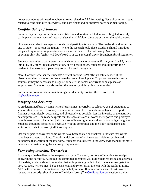however, students will need to adhere to rules related to APA formatting. Several common issues related to confidentiality, interviews, and participant and/or observer notes bear mentioning.

### *Confidentiality of Sources*

Sources may or may not wish to be identified in a dissertation. Students are obligated to notify participants and managers of research sites that all Walden dissertations enter the public arena.

How students refer to anonymous locales and participants can vary. The reader should know the city or state—or at least the region—where the research took place. Students should introduce the pseudonym for an organization with a sentence such as the following: *To ensure confidentiality, the facility will be referred to as XYZ Medical Clinic throughout this dissertation*.

Students may refer to participants who wish to remain anonymous as *Participant 1* or *P1*, by an initial, by any other logical abbreviation, or by a pseudonym. Students should inform their readers in the narrative if pseudonyms will be used throughout.

*Note:* Consider whether the students' curriculum vitae (CV) offer an astute reader of the dissertation the chance to surmise where the research took place. To protect research sites or sources, it may be necessary to disguise or delete the names of current or past places of employment. Students may also redact the names by highlighting them in black.

For more information about maintaining confidentiality, contact the IRB office at [irb@waldenu.edu.](mailto:irb@waldenu.edu)

#### *Integrity and Accuracy*

A predetermined bias by some writers leads almost invariably to selective use of quotations to support their position. However, as a scholarly researcher, students are obligated to report findings as completely, accurately, and objectively as possible, lest the integrity of the narrative be compromised. The reader expects that the speaker's actual words are reported and portrayed in an honest context, including judicious use of blatant grammatical errors and vulgar language. Students should be prepared to negotiate with the committee and the study participants and stakeholders what the word *judicious* implies.

Use an ellipsis to show that some words have been deleted or brackets to indicate that words have been changed or added. If a substantial portion of an interview is deleted or changed, paraphrase that section of the interview. Students should refer to the APA style manual for more details about maintaining the accuracy of quotations.

### *Formatting Interview Transcripts*

In many qualitative dissertations—particularly in Chapter 4, portions of interview transcripts appear in the narrative. Although the committee members will guide their reporting and analysis of the data, students should remember that an important goal is to help the reader navigate the text. As such, writers must be be consistent, and try to format the text with the reader in mind. APA's 40-word rule for quotations may be helpful here: If an interview excerpt is 40 words or longer, the transcript should be set off in block form. (The [Crediting Sources](#page-30-0) section provides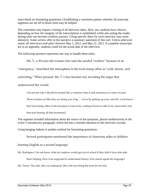more detail on formatting quotations.) Establishing a consistent pattern whereby all transcript segments are set off in block form may be helpful.

The committee may require a listing of all interview dates. Here, too, students have choices, depending on how the integrity of the transcriptions is established, while also aiding the reader during what can become a tedious journey. Citing specific dates for each interview may seem obtrusive. Some writers offer in the narrative a summary statement of this sort: *Unless otherwise noted, all interviews took place between May 1, 2012, and May 21, 2012.* If complete transcripts are in an appendix, students could list the actual date of the interview.

The following narrative represents one way to handle these tasks:

Ms. T., a 30-year-old woman who said she needed "welfare" because of an

"emergency," described the atmosphere in the food stamp office as "cold, dreary, and

uninviting." When pressed, Ms. T.'s face became red, revealing the anger that

underscored her words:

I do not see why I should be treated like a criminal when I seek assistance in a time of need.

Them workers act like they are doing you a big . . . favor by pulling up your case file. Lord knows

that food stamp office is the last place I want to be, waiting 4 hours to talk to my caseworker and

then just hearing all that [nonsense].

The segment included information about the source of the quotation, placed unobtrusively in the writer's introductory paragraph, which led into a smooth transition to the interview excerpt.

Using hanging indents is another method for formatting quotations:

Several participants mentioned the importance of classroom aides to children

learning English as a second language:

Ms. Rodriguez: I do not know what my nephew would get out of school if they didn't have that aide

there helping. How is he supposed to understand history if he cannot speak the language?

Ms. Torres: The aide, she's so underpaid. She's the one doing the most for my kid.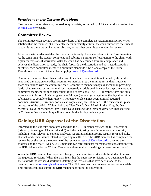#### *Participant and/or Observer Field Notes*

First person point of view may be used as appropriate, as guided by APA and as discussed on the [Writing Center](http://writingcenter.waldenu.edu/711.htm) website.

### **Committee Review**

The committee chair reviews preliminary drafts of the complete dissertation manuscript. When satisfied that the manuscript sufficiently meets university criteria, the chair authorizes the student to submit the dissertation, including abstract, to the other committee member for review.

After the chair has deemed that the dissertation is ready, he or she submits it for Turnitin review. At the same time, the student completes and submits a Turnitin self-evaluation to the chair, with a plan for revisions if warranted. After the chair has determined Turnitin compliance and believes the dissertation is ready, the chair forwards the dissertation and abstract, dissertation checklist, each committee member's minimum standards rubric, and a copy of the formal Turnitin report to the URR member, copying [research@waldenu.edu.](mailto:research@waldenu.edu)

Committee members have 14 calendar days to evaluate the dissertation. Guided by the students' annotated dissertation checklist, a committee member uses the minimum standards rubric to share evaluations with the committee chair. Committee members may assist chairs in providing feedback to students on further revisions requested; an additional 14 calendar days are allotted to committee members for **each** subsequent round of revisions. The URR member, form and style editors, and CAO or CAO's designee have 14 days (review cycle beginning the day after initial submission) to complete their review. The review cycle cannot begin until all required documents (rubrics, Turnitin reports, clean copies, etc.) are submitted. If the review takes place during any of the official Walden holidays (New Year's Day; Martin Luther King, Jr. Day; Memorial Day; Independence Day; Labor Day; Thanksgiving Day and day after Thanksgiving; or Christmas Day), the holiday will not count in the 14-day review cycle.

### <span id="page-20-0"></span>**Gaining URR Approval of the Dissertation**

Informed by the student's annotated checklist, the URR member reviews the full dissertation (primarily focusing on Chapters 4 and 5) and abstract, using the minimum standards rubric, including items relevant to content, analyses, reporting and interpreting results, form and style, abstract, and ethical issues related to reporting results. After the URR member has completed the review, he or she sends the outcome of the review to [research@waldenu.edu,](mailto:research@waldenu.edu) copying the students and the chair. (Again, URR members can refer students for mandatory consultation with the IRB office and/or the Writing Center to address ethical or writing concerns, respectively.)

When the URR member has requested changes, the committee works with the student to make the requested revisions. When the chair feels that the necessary revisions have been made, he or she forwards the revised dissertation, detailing the revisions that have been made, to the URR member, copying [research@waldenu.edu.](mailto:research@waldenu.edu) The URR member then reviews the revised materials. This process continues until the URR member approves the dissertation.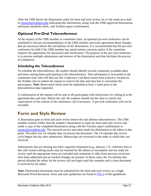After the URR deems the dissertation ready for form and style review, he or she sends an e-mail to [research@waldenu.edu](mailto:research@waldenu.edu) indicating this information, along with the URR-approved dissertation, minimum standards rubric, and Turnitin report confirmation.

### **Optional Pre-Oral Teleconference**

At the request of the URR member or committee chair, an optional pre-oral conference can be scheduled to discuss recommendations of the URR member and reach agreement about changes that are necessary before the oral defense of the dissertation. It is recommended that the pre-oral conference be held if the URR member has raised serious concerns and/or if the committee requests the opportunity for discussion and clarification. The purpose of the pre-oral conference is to prevent multiple submissions and reviews of the dissertation and thus facilitate the process of completion.

### *Scheduling the Teleconference*

To schedule the teleconference, the student should identify several commonly available dates and times among those participating in the teleconference. That information is forwarded to the committee chair who will then use the *Conference Call Reservation* form (which is located on the Walden site) to submit the request to reserve the date and time that is convenient the participants. *Note:* Reservation forms must be submitted at least 1 week prior to the teleconference date requested.

A confirmation of the request will be sent to all participants with instructions for calling in at the appointed date and time. Before the call, the students should ask the chair to clarify any expectations of the content of the conference call if necessary. A pre-oral conference will not be recorded.

### <span id="page-21-0"></span>**Form and Style Review**

A dissertation goes to form and style review before the oral defense teleconference. The URR member notifies OSRA that the student's dissertation is ready for form and style review and sends a copy of the completed dissertation along with the Turnitin report confirmation to [research@waldenu.edu.](mailto:research@waldenu.edu) The research service specialist sends the dissertation to the editor at that point. The editor has 14 calendar days to process the document. The 14-calendar-day review cycle begins the day after submission. Manuscripts are reviewed in the order in which they are received.

Submissions that are missing any basic required component (e.g., abstract, CV, reference list) or that still contain editing marks may be returned by the editors as incomplete and not ready for review until the appropriate items are included and comments or edits from previous reviewers have been addressed and no tracked changes are present. In these cases, the 14-calendar-day period afforded the editor for the review will not begin until the complete and a clean document is received by the editor.

*Note:* Dissertation documents must be submitted for the form and style review as a single Microsoft Word document. Form and style guidelines are found in [Part 2](#page-26-0) of this guidebook.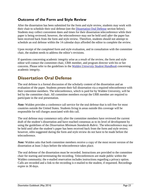### **Outcome of the Form and Style Review**

After the dissertation has been submitted for the form and style review, students may work with their chair to schedule their oral defense (see the [Dissertation Oral Defense](#page-22-0) section below). Students may collect convenient dates and times for their dissertation teleconference while their paper is being reviewed; however, the teleconference may not be held until *after* the paper has been received back from the form and style review. Therefore, students should not attempt to schedule an oral defense within the 14 calendar days afforded the editor to complete the review.

Upon receipt of the completed form and style evaluation, and in consultation with the committee chair, the student needs to address the editor's revisions.

If questions concerning academic integrity arise as a result of the review, the form and style editor will contact the committee chair, URR member, and program director with his or her concerns. Please refer to the guidelines in the *[Walden University Student Handbook](http://www.waldenu.edu/catalog)* concerning academic integrity.

### <span id="page-22-0"></span>**Dissertation Oral Defense**

The oral defense is a formal discussion of the scholarly content of the dissertation and an evaluation of the paper. Students present their full dissertation via a required teleconference with their committee members. The teleconference, which is paid for by Walden University, will be led by the committee chair. All committee members except the URR member are required to participate in the oral presentation.

*Note:* Walden provides a conference call service for the oral defense that is toll-free for most countries outside the United States. Students living in areas outside this coverage will be responsible for toll charges associated with this call.

The oral defense may commence only after the committee members have reviewed the current draft of the student's dissertation and have reached consensus as to its level of development by using the guidelines of the *Dissertation Minimum Standards Rubric*. The teleconference may not be held until after the student's paper has been received back from the form and style review; however, edits suggested during the form and style review do not have to be made before the teleconference.

*Note:* Walden asks that both committee members receive a copy of the most recent version of the dissertation at least 3 days before the teleconference takes place.

The oral defense of the dissertation must be recorded. Instructions are provided to the committee chair for starting and terminating the recording. Teleconferences are made public within the Walden community; the e-mailed reservation includes instructions regarding a privacy option. Calls are recorded and a link to the recording is e-mailed to the student, if requested. Recordings expire in 30 days.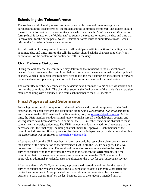### **Scheduling the Teleconference**

The student should identify several commonly available dates and times among those participating in the teleconference (the student and the committee members). The student should forward that information to the committee chair who then uses the *Conference Call Reservation*  form (which is located on the Walden site) to submit the request to reserve the date and time that is convenient for the participants. *Note:* Reservation forms must be submitted at least 1 week prior to the first teleconference date requested.

A confirmation of the request will be sent to all participants with instructions for calling in at the appointed date and time. Prior to the call, the student should ask the chairperson to clarify any expectations of the content of the conference call if necessary.

### **Oral Defense Outcome**

During the oral defense, the committee may determine that revisions to the dissertation are needed. In such an event, the committee chair will supervise the student in making the stipulated changes. When all requested changes have been made, the chair authorizes the student to forward the revised manuscript and approval forms to the committee member for a final review.

The committee member determines if the revisions have been made to his or her satisfaction and notifies the committee chair. The chair then submits the final version of the student's dissertation manuscript along with a quality rubric from each member to the URR member.

### <span id="page-23-0"></span>**Final Approval and Submission**

Following the successful completion of the oral defense and committee approval of the final dissertation, the chair forwards the dissertation along with a *Dissertation Quality Rubric* from each member to the URR member for a final review, copying [research@waldenu.edu.](mailto:research@waldenu.edu) At this time, the URR member conducts a final review to make sure all methodological, content, and writing issues have been addressed. In addition, the URR member reviews the abstract to make sure it meets university guidelines. The URR member conducts any additional reviews that are necessary until the final copy, including abstract, meets full approval. Each member of the committee indicates full final approval of the dissertation independently by his or her submitting the *Dissertation Quality Rubric* to [research@waldenu.edu.](mailto:research@waldenu.edu)

After approval from the URR member has been received, the research service specialist sends the abstract of the dissertation to the university's CAO or to the CAO's designee. The CAO review takes 14 calendar days. The results of the review are communicated to the research service specialist, who then forwards the results to the student, the URR member, and the committee chair. If changes are necessary and a resubmission to the CAO is required for approval, an additional 14 calendar days are allotted to the CAO for each subsequent review.

After the university's CAO, or designee, approves the dissertation and notifies the research service specialist, the research service specialist sends the student a congratulatory letter and copies the committee. CAO approval of the dissertation must be received by the close of business (5 p.m. Central time) on the last business day of the student's intended term of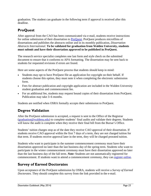graduation. The student can graduate in the following term if approval is received after this deadline.

### **ProQuest**

After approval from the CAO has been communicated via e-mail, students receive instructions for online submission of their dissertation to **ProQuest**. ProQuest produces microfilms of dissertations and publishes the abstracts online and in its monthly publication, *Dissertation Abstracts International*. **To be validated for graduation from Walden University, students must submit and have their dissertation approved to be published in ProQuest.**

The research service specialist completes one last form and style check on the submitted document to ensure that it conforms to APA formatting. The dissertation may be sent back to students for requested revisions if errors are found.

Here are some aspects of the ProQuest process that students should keep in mind:

- Students may opt to have ProQuest file an application for copyright on their behalf. If students choose this option, they must note it when completing the electronic submission form.
- Fees for abstract publication and copyright application are included in the Walden University student graduation and commencement fee.
- For an additional fee, students may request bound copies of their dissertation from ProQuest. Publication may take 3–6 months.

Students are notified when OSRA formally accepts their submission to ProQuest.

### **Degree Validation**

After the ProQuest submission is accepted, a request is sent to the Office of the Registrar [\(graduation@waldenu.edu\)](mailto:graduation@waldenu.edu) to complete students' final audits and validate their degrees. Students will know the audit is complete when they receive their final bill from the Bursar's Office.

Students' tuition charges stop as of the date they receive CAO approval of their dissertation. If students receive CAO approval within the first 7 days of a term, they are not charged tuition for that term. If students receive approval later in the term, they will be charged prorated tuition.

Students who want to participate in the summer commencement ceremony must have their dissertation approved no later than the last business day of the spring term. Students who want to participate in the winter commencement ceremony must have their dissertation approved no later than the last business day of the fall term. *Note:* Students are not automatically registered for commencement. If students want to attend a commencement ceremony, they can [register online.](http://www.mywaldenalumni.com/s/1277/commencement/index.aspx?sid=1277&gid=1&pgid=458)

### **Survey of Earned Doctorates**

Upon acceptance of the ProQuest submission by OSRA, students will receive a *Survey of Earned Doctorates.* They should complete this survey from the link provided in the e-mail.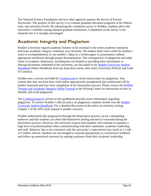The National Science Foundation and four other agencies sponsor the *Survey of Earned Doctorates.* The purpose of this survey is to evaluate graduate education programs at the federal, state, and university levels. By submitting the completed survey to Walden, students add to the university's visibility among national graduate institutions. Completion of the survey is not required, but it is strongly encouraged.

### <span id="page-25-0"></span>**Academic Integrity and Plagiarism**

Walden University regards academic honesty to be essential to the entire academic enterprise and treats academic integrity violations very seriously. No student shall claim credit for another's work or accomplishments or use another's ideas in a written paper or presentation without appropriate attribution through proper documentation. The consequences of plagiarism and other forms of academic dishonesty, including but not limited to providing false information or altering documents submitted to the university, are discussed in the *[Walden University Student](http://catalog.waldenu.edu/)  [Handbook](http://catalog.waldenu.edu/)* (Select Handbook from the drop down menu, then select University Policies and Code of Conduct).

Walden uses a service provided by **Turnitin.com** to check manuscripts for plagiarism. Any content that may not have been cited and/or appropriately paraphrased and synthesized will be further examined and may slow completion of the dissertation process. Please review the [Walden](http://writingcenter.waldenu.edu/Documents/Scholarly-Writing/Academic_Integrity_Student_04.24.13.swf)  [Turnitin and Academic Integrity Online Tutorial](http://writingcenter.waldenu.edu/Documents/Scholarly-Writing/Academic_Integrity_Student_04.24.13.swf) at the Writing Center for instruction on how to identify and avoid plagiarism.

The [Crediting Sources](#page-30-0) section of this guidebook provides more information regarding plagiarism. To review Walden's official policy on plagiarism, students should visit the *[Walden](http://catalog.waldenu.edu/)  [University Student Handbook](http://catalog.waldenu.edu/)*. For a detailed discussion of the ethics of scholarly writing, Chapter 1 of the APA style manual is another resource*.*

Walden understands that progression through the dissertation process can be a demanding endeavor and that students can often find themselves feeling stressed or frustrated during the dissertation process. However, the university expects that students will continue to maintain a high level of professionalism when communicating with their committee, academic leadership, and staff. Behavior that is not consistent with the university's expectations may result in a Code of Conduct referral. Students are encouraged to respond appropriately to constructive feedback and follow up unresolved concerns by seeking assistance from their academic leadership.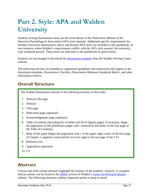# <span id="page-26-0"></span>**Part 2. Style: APA and Walden University**

Students writing dissertations must use the sixth edition of the *Publication Manual of the American Psychological Association* (APA style manual). Additional specific requirements for Walden University dissertations, above and beyond APA style, are included in this guidebook. In rare instances where Walden's requirements conflict with the APA style manual, the university style standards prevail. These items are indicated in this guidebook by green boxes.

Students are encouraged to download the [dissertation template](http://writingcenter.waldenu.edu/549.htm) from the Walden Writing Center website.

The following sections are intended to supplement guidelines and instructions that appear in the dissertation template, *Dissertation Checklist*, *Dissertation Minimum Standards Rubric*, and other information sources.

### <span id="page-26-1"></span>**Overall Structure**

The Walden dissertation consists of the following sections, in this order:

- 1. Abstract title page
- 2. Abstract
- 3. Title page
- 4. Dedication page *(optional)*
- 5. Acknowledgments page *(optional)*
- 6. Table of contents (including list of tables and list of figures pages, if necessary; begin the pagination of the preliminary pages with *i* centered in the footer of the first page of the Table of Contents)
- 7. Body of the paper (begin the pagination with *1* in the upper right corner of the first page of Chapter 1; paginate consecutively on every page to the last page of the CV)
- 8. Reference list
- 9. Appendices *(optional)*
- 10. CV

### <span id="page-26-2"></span>**Abstract**

Concise and well-written abstracts highlight the richness of the students' research. A complete abstract primer can be found in the [OSRA](http://researchcenter.waldenu.edu/Abstract-Assistance-for-all-programs-with-research-capstones.htm) section of Walden's [Center for Research Quality](http://researchcenter.waldenu.edu/Abstract-Assistance-for-all-programs-with-research-capstones.htm) website. The following summary outlines important points to keep in mind: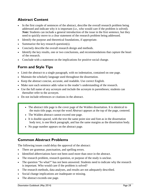### **Abstract Content**

- In the first couple of sentences of the abstract, describe the overall research problem being addressed and indicate why it is important (i.e., who would care if the problem is solved). *Note*: Students can include a general introduction of the issue in the first sentence, but they need to quickly move to a clear statement of the research problem being addressed.
- Identify the purpose and theoretical foundations, if appropriate.
- Summarize the key research question(s).
- Concisely describe the overall research design and methods.
- Identify the key results, one or two conclusions, and recommendations that capture the heart of the research.
- Conclude with a statement on the implications for positive social change.

### **Form and Style Tips**

- Limit the abstract to a single paragraph, with no indentation, contained on one page.
- Maintain the scholarly language used throughout the dissertation.
- Keep the abstract concise, accurate, and readable. Use correct English.
- Make sure each sentence adds value to the reader's understanding of the research.
- Use the full name of any acronym and include the acronym in parentheses; students can thereafter refer to the acronym.
- Do not include references or citations in the abstract.
	- The abstract title page is the cover page of the Walden dissertation. It is identical to the main title page, except the word *Abstract* appears at the top of the page, centered.
	- The Walden abstract cannot exceed one page.
	- It is double-spaced, with the text the same point size and font as in the dissertation body text, is one block paragraph, and has the same margins as the dissertation body.
	- No page number appears on the abstract page.

### **Common Abstract Problems**

The following issues could delay the approval of the abstract:

- There are grammar, punctuation, and spelling errors.
- Identified abbreviations have not been used more than once in the abstract*.*
- The research problem, research question, or purpose of the study is unclear.
- The question "So what?" has not been answered. Students need to indicate why the research is important. Who would care if the problem is solved?
- The research methods, data analyses, and results are not adequately described.
- Social change implications are inadequate or missing.
- The abstract exceeds one page.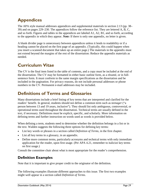### <span id="page-28-0"></span>**Appendices**

The APA style manual addresses appendices and supplemental materials in section 2.13 (pp. 38– 39) and on pages 229–230. The appendices follow the reference list. They are lettered A, B, C, and so forth. Figures and tables in the appendices are labeled A1, A2, B1, and so forth, according to the appendix in which they appear. *Note:* If there is only one appendix, no letter is given.

A blank divider page is unnecessary between appendices unless it lends to readability or if a heading cannot be placed on the first page of an appendix. (Typically, this could happen when you insert a scanned document that takes up an entire page.) The materials in the appendix must not extend beyond the margins of the rest of the dissertation: Reduce the appendix materials as needed.

### <span id="page-28-1"></span>**Curriculum Vitae**

The CV is the final item listed in the table of contents, and a copy must be included at the end of the dissertation. The CV may be formatted in either basic outline form, as a résumé, or in fullsentence form. It must conform to the same margin specifications as the dissertation and be included in the pagination. For privacy reasons, do not include personal addresses or phone numbers in the CV. Permanent e-mail addresses may be included.

### <span id="page-28-2"></span>**Definitions of Terms and Glossaries**

Many dissertations include a brief listing of key terms that are interpreted and clarified for the readers' benefit. In general, students should not define a common term such as *teenager* ("a person between 13 and 19 years, inclusive"). They should list only ambiguous, controversial, or operational terms used throughout the dissertation. Technical terms are usually defined in the text, if necessary. Definitions must be explicit, specific, and scholarly. More information on defining terms and further instruction on words used as words is provided below.

When defining a term, students need to determine whether the definition belongs in a list or in the text. Walden suggests the following three options for defining key terms:

- List key words or phrases in a section called *Definition of Terms,* in the first chapter.
- List all key terms in a glossary, in an appendix.
- Define more common terms, particularly acronyms and technical terms with only immediate application for the reader, upon first usage. (Per APA 4.21, remember to italicize key terms on first usage.)

Consult the committee chair about what is most appropriate for the reader's comprehension.

### **Definition Examples**

Note that it is important to give proper credit to the originator of the definition.

The following examples illustrate different approaches to this issue. The first two examples might well appear in a section called *Definition of Terms*.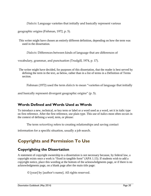*Dialects:* Language varieties that initially and basically represent various

geographic origins (Fishman, 1972, p. 5).

This writer might have chosen an entirely different definition, depending on how the term was used in the dissertation.

*Dialects:* Differences between kinds of language that are differences of

vocabulary, grammar, and punctuation (Trudgill, 1974, p. 17).

The writer might have decided, for purposes of this dissertation, that the reader is best served by defining the term in the text, as below, rather than in a list of terms in a Definition of Terms section.

Fishman (1972) used the term *dialects* to mean "varieties of language that initially

and basically represent divergent geographic origins" (p. 5).

### **Words Defined and Words Used as Words**

To introduce a new, technical, or key term or label or a word used as a word, set it in italic type on first reference. After the first reference, use plain type. This use of italics most often occurs in the context of defining a word, term, or phrase:

The term *networking* refers to creating relationships and saving contact

information for a specific situation, usually a job search.

### <span id="page-29-0"></span>**Copyrights and Permission To Use**

### **Copyrighting the Dissertation**

A statement of copyright ownership to a dissertation is not necessary because, by federal law, a copyright exists once a work is "fixed in tangible form" (APA 1.15). If students wish to add a copyright notice, place this wording at the bottom of the acknowledgments page, or if there is no acknowledgments page, on a blank page after the main title page:

© [year] by [author's name]. All rights reserved.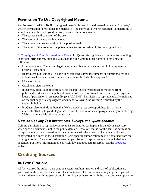### **Permission To Use Copyrighted Material**

As discussed in APA 6.10, if copyrighted material is used in the dissertation beyond "fair use," written permission to reproduce the material by the copyright owner is required. To determine if something is within or beyond fair use, consider these four issues:

- The purpose and character of the use.
- The nature of the copyrighted work.
- The amount and substantiality of the portion used.
- The effect of the use upon the potential market for, or value of, the copyrighted work.

In [Copyright and Your Dissertation or Thesis,](http://www.proquest.com/assets/downloads/products/UMI_CopyrightGuide.pdf) ProQuest offers guidance to authors for avoiding copyright infringement. Such mistakes may include, among other potential problems, the following:

- Long quotations. There is no legal requirement, but authors should avoid long quotes in nearly all instances.
- Reproduced publications. This includes standard survey instruments or questionnaires and articles, such as newspaper or magazine articles, included in an appendix.
- Music or lyrics.
- Graphic or pictorial works.
- In general, permission to reproduce tables and figures reproduced or modified from published works not in the public domain must be demonstrated, most often by a copy of a letter of permission in an appendix (see APA 5.06). Permission to reprint is usually indicated on the first page of a copyrighted document, following the wording requested by the copyright holder.
- ProQuest also reminds authors that Web-based sources are copyrighted just as print materials. That is, beyond plagiarism, be careful not to violate copyright laws by reproducing Web-based materials without permission.

### *Note on Copying Test Instruments, Surveys, and Questionnaires*

Gaining permission to reproduce a survey instrument for participants in a study is necessary when such a document is not in the public domain. However, that is not the same as permission to reproduce it in the dissertation. If the committee asks the student to include a published copyrighted document in the dissertation itself, specific authorization must be obtained from the copyright holder. The authorization granting permission to reproduce must be included in an appendix. For more information on copyright law and graduate research, visit the **ProQuest** website.

### <span id="page-30-0"></span>**Crediting Sources**

### **In-Text Citations**

APA style uses the author–date citation system. Authors' names and year of publication are given within the text or at the end of block quotations. The author name may appear as part of the narrative text with the year of publication in parentheses, or both the name and year appear in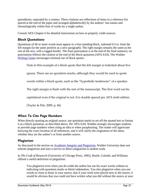parentheses, separated by a comma. These citations are reflections of items in a reference list placed at the end of the paper and arranged alphabetically by the authors' last names and chronologically within lists of works by a single author.

Consult APA Chapter 6 for detailed instructions on how to properly credit sources.

#### *Block Quotations*

Quotations of 40 or more words must appear in a free-standing block, indented 0.5 in. from the left margin (in the same position as a new paragraph). The right margin remains the same as the rest of the text, with a ragged border. The final punctuation is at the end of the final sentence; no punctuation follows the citation at the end of the block quotation (APA 6.03). The Walden [Writing Center](http://writingcenter.waldenu.edu/874.htm) encourages minimal use of block quotes.

Note in this example of a block quote that the left margin is indented about five

spaces. There are no quotation marks, although they would be used to quote

words within a block quote, such as the "hyperbolic tendencies" of a speaker.

The right margin is flush with the rest of the manuscript. The first word can be

capitalized even if the original is not. It is double spaced per APA sixth edition.

(Taylor & Fife, 2009, p. 46)

#### *When To Cite Page Numbers*

When directly quoting an original source, use quotation marks to set off the quoted text or format it as a block quotation, as described above. Per APA 6.04, Walden strongly encourages students to provide page numbers when citing an idea or when paraphrasing. The reader will appreciate knowing the exact location of all references, and it will clarify the origination of the ideas, whether they are the author's or from another source.

#### *Plagiarism*

As discussed in the section on [Academic Integrity and Plagiarism,](#page-25-0) Walden University does not tolerate plagiarism and uses a service to detect plagiarism in student work.

In *The Craft of Research* (University of Chicago Press, 1995), Booth, Colomb, and Williams offered a useful definition of plagiarism:

You plagiarize even when you do credit the author but use his exact words without so indicating with quotation marks or block indentation. You also plagiarize when you use words so close to those in your source, that if your work were placed next to the source, it would be obvious that you could not have written what you did without the source at your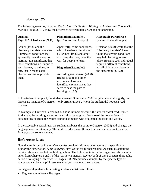elbow. (p. 167)

The following excerpts, based on *The St. Martin's Guide to Writing* by Axelrod and Cooper (St. Martin's Press, 2010), show the difference between plagiarism and paraphrasing.

| Original                         | <b>Plagiarism Example 1</b>   | <b>Acceptable Paraphrase</b>   |
|----------------------------------|-------------------------------|--------------------------------|
| Page 172 of Guterson (2008)      | [per Axelrod and Cooper]      | [per Axelrod and Cooper]       |
|                                  |                               |                                |
| Bruner (1968) and the            | Apparently, some conditions,  | Guterson (2008) wrote that the |
| discovery theorists have also    | which have been illuminated   | "discovery theorists" have     |
| illuminated conditions that      | by Bruner (1968) and other    | found that certain conditions  |
| apparently pave the way for      | discovery theorists, pave the | may help learning to take      |
| learning. It is significant that | way for people to learn.      | place. Because each individual |
| these conditions are unique to   |                               | requires different conditions, |
| each learner, so unique, in      | <b>Plagiarism Example 2</b>   | not all children can learn in  |
| fact, that in many cases         |                               | the classroom $(p. 172)$ .     |
| classrooms cannot provide        | According to Guterson (2008), |                                |
| them.                            | Bruner (1968) and other       |                                |
|                                  | researchers have also         |                                |
|                                  | identified circumstances that |                                |
|                                  | seem to ease the path to      |                                |
|                                  | learning $(p. 172)$ .         |                                |

In Plagiarism Example 1, the student changed Guterson's (2008) original material slightly, but there is no mention of Guterson—only Bruner (1968), whom the student did not even read firsthand.

In Example 2, Guterson is credited and so is Bruner; however, the student didn't read Bruner. And again, the wording is almost identical to the original. Because of the conventions of documenting sources, the reader cannot distinguish who originated the ideas and words.

In the acceptable paraphrase, the student attributes the point to Guterson (2008) and changes the language more substantially. The student did not read Bruner firsthand and does not mention Bruner, so the source is clear.

### **Reference Lists**

Note that each source in the *reference list* provides information on works that specifically support the dissertation. A *bibliography* cites works for further reading. As such, dissertations require reference lists but not bibliographies*.* The following information regarding references is taken from Chapters 6 and 7 of the APA style manual. Review both of these chapters thoroughly before developing a reference list. Pages 198–215 provide examples by the specific type of source and can be a helpful resource after you have read the chapters.

Some general guidance for creating a reference list is as follows:

• Paginate the reference list pages.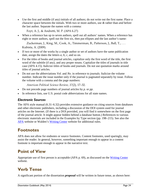• Use the first and middle (if any) initials of all authors; do not write out the first name. Place a character space between the initials. With two or more authors, use *&* rather than *and* before the last author. Separate the names with a comma:

Foyt, A. J., & Andretti, M. P. (APA 6.27)

• When a reference has up to seven authors, spell out all authors' names. When a reference has eight or more authors, spell out the first six, then put ellipses and the last author's name:

Zuckerman, J., King, M., Cook, A., Timmerman, B., Patterson, J., Ball, T., ... Kubista, A. (2009).

- If two or more of the works by a single author or set of authors have the same publication date, assign the dates the letters *a*, *b*, *c*, and so on.
- For the titles of books and journal articles, capitalize only the first word of the title, the first word of the subtitle (if any), and any proper nouns. Capitalize the titles of journals in title case (APA 4.15). Italicize titles of books and journals. Do not use quotation marks around titles of journal articles.
- Do not use the abbreviations *Vol.* and *No.* in reference to journals. Italicize the volume number. Indicate the issue number only if the journal is paginated separately by issue. Follow the volume with a comma and the page numbers:

*American Political Science Review, 37*(2), 17–32.

- Do not precede page numbers of journal articles by *p.* or *pp.*
- In reference lists, use U.S. postal code abbreviations for all state names.

### *Electronic Sources*

The APA style manual (6.31–6.32) provides extensive guidance on citing sources from databases and other electronic publishers, including a discussion of the DOI system used for journal articles on the Internet. (If there is a DOI provided, you will find it somewhere on the first page of the journal article. It might appear hidden behind a database button.) References to various electronic materials are included in the Examples by Type section (pp. 198–215). See also the [APA](http://www.apastyle.org/learn/faqs/index.aspx) website or Walden's [Writing Center](http://writingcenter.waldenu.edu/APA.htm) website for additional rules.

### <span id="page-33-0"></span>**Footnotes**

APA does not allow for endnotes or source footnotes. Content footnotes, used sparingly, may assist the reader. In general, however, something important enough to appear in a content footnote is important enough to appear in the narrative text.

### <span id="page-33-1"></span>**Point of View**

Appropriate use of first person is acceptable (APA p. 69), as discussed on the [Writing Center](http://writingcenter.waldenu.edu/711.htm) website.

### <span id="page-33-2"></span>**Verb Tense**

A significant portion of the dissertation *proposal* will be written in future tense, as shown here: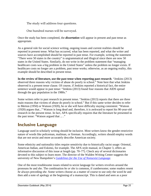The study will address four questions.

One hundred nurses will be surveyed.

Once the study has been completed, the *dissertation* will appear in present and past tense as appropriate.

As a general rule for social science writing, ongoing issues and current realities should be reported in present tense. What has occurred, what has been reported, and what the writer and sources have accomplished should be reported in past tense. For example, writing the statement "There were 50 states in the country" is ungrammatical and illogical since there are now 50 states in the United States. Similarly, do not write in the problem statement that "managing healthcare costs was a big problem in the United States" unless the problem no longer exists. If healthcare costs no longer are a problem, past tense works; otherwise, as an ongoing reality, this example should be described in present tense.

**In the review of literature, use the past tense when reporting past research**. "Jenkins (2013) observed three reasons why victims of abuse do poorly in school." Note here that what Jenkins observed is a present tense clause. Of course, if Jenkins reported a historical fact, the entire sentence would appear in past tense: "Jenkins (2013) found four reasons that AIDS spread through the gay population in the 1980s."

Some writers refer to past research in present tense. "Jenkins (2013) reports that there are three main reasons that victims of abuse do poorly in school." But if this same writer decides to refer to Merton (1950) or Watson (1920), he or she will have difficulty staying consistent: "Watson (1920) argues that..." Watson is long dead and, therefore, it is awkward to report his 90-year-old research in the present tense. In fact, APA specifically requires that the literature be presented in the past tense: "Watson argued that ... ."

### <span id="page-34-0"></span>**Inclusive Language**

Language used in scholarly writing should be inclusive. Most writers know the gender-restrictive nature of words like policeman, mailman, or fireman. Accordingly, writers should employ words that are not sexist and more accurately describe American society.

Some ethnicity and nationality titles require sensitivity due to historically racist usage: Oriental, American Indian, and Eskimo, for example. The APA style manual, in Chapter 3, offers an informative discussion of this issue at length (pp. 70–77). Check any of several dictionaries devoted to this subject to learn more. The director of the Walden Writing Center suggests the university of New Hampshire's *[Guidelines for the Use of Nonsexist Language.](http://www.unh.edu/womens-commission/nonsexist.html%23guide)*

One of the most troublesome issues related to sexist language for writers revolves around the pronouns *he* and *she*. The combination *he or she* is common, if cumbersome; some readers resent *he* always preceding *she*. Some writers choose as a matter of course to use only the word *he* and then add a note of apology at the beginning of a manuscript. This is dated and seen as a poor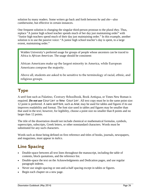solution by many readers. Some writers go back and forth between *he* and *she*—also cumbersome, but effective in certain instances.

One frequent solution is changing the singular third-person pronoun to the plural *they.* Thus, replace "A junior high school teacher spends much of her day just maintaining order" with "Junior high teachers spend much of their day just maintaining order." In this example, another solution is to use the passive voice: "A junior high school teacher's day is spent, to a large extent, maintaining order."

Walden University's preferred usage for groups of people whose ancestors can be traced to Africa is *African American*. The usage should be consistent:

African Americans make up the largest minority in America, while European Americans compose the majority.

Above all, students are asked to be sensitive to the terminology of racial, ethnic, and religious groups.

### <span id="page-35-0"></span>**Type**

A serif font such as Palatino, Century Schoolbook, Book Antiqua, or Times New Roman is required. *Do not use* Courier or New Courier. All text copy must be in the same point size: 12 point is preferred. A sans serif font, such as Arial, may be used for tables and figures if its use improves readability and format. The font size used in tables and figures may be smaller than that used in the text; however, for legibility, choose a point size no smaller than 8 points and no larger than 12 points.

The title of the dissertation should not include chemical or mathematical formulas, symbols, superscripts, subscripts, Greek letters, or other nonstandard characters. Words must be substituted for any such characters.

Words such as those being defined on first reference and titles of books, journals, newspapers, and magazines, must appear in *italics.*

### <span id="page-35-1"></span>**Line Spacing**

- Double-space between all text lines throughout the manuscript, including the table of contents, block quotations, and the reference list.
- Double-space the text on the Acknowledgments and Dedication pages, and use regular paragraph indents.
- Never use single-spacing or one-and-a-half spacing except in tables or figures.
- Begin each chapter on a new page.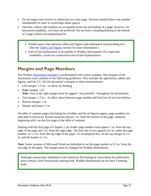- Do not begin each section or subsection on a new page. Sections should follow one another immediately in order to avoid large blank spaces.
- One-line *widows* and *orphans* are acceptable at the top and bottom of a page; however, for increased readability, two lines are preferred. Do not leave a heading *floating* at the bottom of a page without accompanying text.
	- Double-space lines between tables and figures and subsequent and preceding text. (See the [Tables and Figures](#page-39-0) section for more information.)
	- End-of-line hyphenation is acceptable in Walden dissertations. For improved readability, avoid two consecutive end-of-line hyphenations.

### <span id="page-36-0"></span>**Margins and Page Numbers**

The Walden [dissertation template](http://writingcenter.waldenu.edu/549.htm) is preformatted with correct margins. The margins of the dissertation must conform to the following guidelines. This includes the appendices, tables and figures, and the CV. Set the document's margins at these measurements:

- Left margin: 1.5 in.—to allow for binding.
- Right margin: 1 in. *Note:* Text at the right margin must be ragged—not justified—throughout the dissertation.
- Top margin: 1.3 in.—to allow space between page number and first line of text (see below).
- Bottom margin: 1 in.
- Header and footer: 1 in.

On table of contents pages (including list of tables and list of figures pages), page numbers are indicated in lowercase Roman numerals placed 1 in. from the bottom of the page, centered, beginning with *i* on the first page of the table of contents.

Starting with the first page of Chapter 1, an Arabic page number must appear 1 in. from the top edge of the page and 1 in. from the right edge. The first line of text appears 0.3 in. under the page number, or 1.3 in. from the top edge of the paper. To accomplish this, set the top margin to 1.3 in. and the header to 1 in.

*Note:* Some versions of Microsoft Word are defaulted to set the page number at 0.5 in. from the top edge of the paper. The margin must be changed for Walden dissertations.

Although manuscripts submitted to the American Psychological Association for publication must contain a brief manuscript running head, Walden dissertations do not have a running head.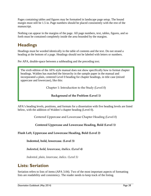Pages containing tables and figures may be formatted in landscape page setup. The bound margin must still be 1.5 in. Page numbers should be placed consistently with the rest of the manuscript.

Nothing can appear in the margins of the page. All page numbers, text, tables, figures, and so forth must be contained completely inside the area bounded by the margins.

### <span id="page-37-0"></span>**Headings**

Headings must be worded identically in the table of contents and the text. Do not strand a heading at the bottom of a page. Headings should not be labeled with letters or numbers.

Per APA, double-space between a subheading and the preceding text.

The sixth edition of the APA style manual does not show specifically how to format chapter headings. Walden has matched the hierarchy in the sample paper in the manual and incorporated a plain, centered Level 0 heading for chapter headings, in title case (mixed uppercase and lowercase), like this:

Chapter 1: Introduction to the Study (Level 0)

#### **Background of the Problem (Level 1)**

APA's heading levels, positions, and formats for a dissertation with five heading levels are listed below, with the addition of Walden's chapter heading (Level 0).

Centered Uppercase and Lowercase Chapter Heading (Level 0)

**Centered Uppercase and Lowercase Heading, Bold (Level 1)**

#### **Flush Left, Uppercase and Lowercase Heading, Bold (Level 2)**

**Indented, bold, lowercase. (Level 3)**

*Indented, bold, lowercase, italics. (Level 4)*

*Indented, plain, lowercase, italics. (Level 5)*

### <span id="page-37-1"></span>**Lists: Seriation**

Seriation refers to lists of items (APA 3.04). Two of the most important aspects of formatting lists are readability and consistency. The reader needs to keep track of the listing.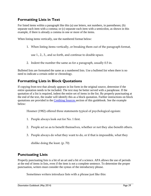### **Formatting Lists in Text**

For listed items within a paragraph like this (a) use letters, not numbers, in parentheses; (b) separate each item with a comma; or (c) separate each item with a semicolon, as shown in this example, if there is already a comma in one or more of the items.

When listing items vertically, use the numbered format below:

1. When listing items vertically, or breaking them out of the paragraph format,

use 1., 2., 3., and so forth, and continue to double-space.

2. Indent the number the same as for a paragraph, usually 0.5 in.

Bulleted lists are formatted the same as a numbered lists. Use a bulleted list when there is no need to indicate a certain order or chronology.

### **Formatting Lists in Block Quotations**

If copying from text that already appears in list form in the original source, determine if the entire quotation needs to be included. The text may be better served with a paraphrase. If the quotation of a list is required, indent the entire set of items in the list. By properly punctuating at the end of the text, the reader will identify this as a block quotation. Further instructions on block quotations are provided in the [Crediting Sources s](#page-30-0)ection of this guidebook. See the example below:

Hosmer (1982) offered three statements typical of psychological egoism:

- 1. People always look out for No. 1 first.
- 2. People act so as to benefit themselves, whether or not they also benefit others.
- 3. People always do what they want to do, or if that is impossible, what they

dislike doing the least. (p. 70)

### **Punctuating Lists**

Properly punctuating lists is a bit of an art and a bit of a science. APA allows the use of periods at the end of items in lists, even if the item is not a complete sentence. To determine the proper punctuation, writers must consider the syntax of the introductory phrase.

Sometimes writers introduce lists with a phrase just like this: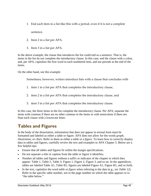- 1. End each item in a list like this with a period, even if it is not a complete sentence.
- 2. Item 2 in a list per APA.
- 3. Item 3 in a list per APA.

In the above example, the clause that introduces the list could end as a sentence. That is, the items in the list do not complete the introductory clause. In this case, end the clause with a colon, and, per APA, capitalize the first word in each numbered item, and use periods at the end of the items.

On the other hand, see this example:

Sometimes, however, writers introduce lists with a clause that concludes with

- 1. item 1 in a list per APA that completes the introductory clause,
- 2. item 2 in a list per APA that completes the introductory clause, and
- 3. item 3 in a list per APA that completes the introductory clause.

In this case, the three items in the list complete the introductory clause. Per APA, separate the items with commas if there are no other commas in the items or with semicolons if there are. Start each clause with a lowercase letter.

### <span id="page-39-0"></span>**Tables and Figures**

In the body of the dissertation, information that does not appear in textual form must be formatted and labeled as either a table or figure. APA does not allow for the words *graph*, *illustration,* or *chart.* Refer to them as either a *table* or a *figure*. To learn how to correctly display data in tables and figures, carefully review the text and examples in APA Chapter 5. Below are a few helpful tips:

- Ensure that all tables and figures fit within the margin specifications.
- Do not separate a title or caption from the table or figure it identifies.
- Number all tables and figures without a suffix or indicator of the chapter in which they appear: Table 1, Table 2, Table 3; Figure 1, Figure 2, Figure 3, and so on. In the appendices, tables are labeled Table A1, Table B1; figures are labeled Figure A1, Figure B1, and so forth.
- In the text, capitalize the word *table* or *figure* when referring to the data (e.g., *see Table 12*). Refer to the specific table number, not to the page number on which the table appears or to "the table below."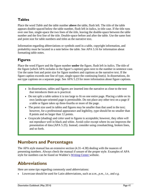### **Tables**

Place the word *Table* and the table number **above** the table, flush left. The title of the table appears double-spaced below the table number, flush left in italics, in title case. If the title runs over one line, single-space the two lines of the title, leaving the double-space between the table number and the first line of the title. Double-space before and after the table. Use the same font and point size for table numbers and titles as the narrative text.

Information regarding abbreviations or symbols used in a table, copyright information, and probability must be located in a note below the table. See APA 5.16 for information about formatting table notes.

### **Figures**

Place the word *Figure* and the figure number **under** the figure, flush left in italics. The title of the figure (which APA includes in the figure's *caption*) goes next to the number in sentence case. Use the same font and point size for figure numbers and captions as the narrative text. If the figure caption exceeds one line of type, single-space the continuing line(s). In dissertations, do not type captions on a separate page. See APA 5.23 for more information about figure captions.

- In dissertations, tables and figures are inserted into the narrative as close to the text that introduces them as is practical.
- Do not split a table unless it is too large to fit on one entire page. Placing a table on its own landscape-oriented page is permissible. Do not place any other text on a page if a table or figure takes up three-fourths or more of the page.
- The point size used in tables and figures may be smaller than that used in the text; however, for a professional appearance and legibility, type should be no smaller than 8 points and no larger than 12 points.
- Grayscale (shading) and color used in figures is acceptable; however, they often will not reproduce well in black and white. Avoid color except where its use improves the presentation of data (APA 5.25). Instead, consider using crosshatching, broken lines, and so forth.

### <span id="page-40-0"></span>**Numbers and Percentages**

The APA style manual has an extensive section (4.31–4.38) dealing with the nuances of presenting numbers. Always check the manual if unsure of the proper style. Examples of APA style for numbers can be found on Walden's [Writing Center](http://writingcenter.waldenu.edu/493.htm) website.

### <span id="page-40-1"></span>**Abbreviations**

Here are some tips regarding commonly used abbreviations:

• Lowercase should be used for Latin abbreviations, such as *a.m., p.m., i.e.,* and *e.g.*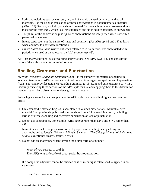- Latin abbreviations such as *e.g.*, *etc.*, *i.e.*, and *cf.* should be used only in parenthetical materials. Use the English translation of these abbreviations in nonparenthetical material (APA 4.26). Roman, not italic, type should be used for these abbreviations. An exception is made for the term [*sic*], which is always italicized and set in square brackets, as shown here.
- The plural of the abbreviation *p.* is *pp.* Such abbreviations are rarely used when not within parenthetical elements.
- In text copy, spell out the names of states and countries. (See APA pp. 88 and 187 to learn when and how to abbreviate locations.)
- *United States* should be written out when referred to in noun form. It is abbreviated with periods when used as an adjective: the *U.S. economy* (p. 88).

APA has many additional rules regarding abbreviations. See APA 4.22–4.30 and consult the index of the style manual for more information.

### <span id="page-41-0"></span>**Spelling, Grammar, and Punctuation**

*Merriam-Webster's Collegiate Dictionary* (2005) is the authority for matters of spelling in Walden dissertations. APA has some additional conventions regarding spelling and hyphenation (4.12–4.13) and provides guidance regarding grammar (3.18–3.23) and punctuation (4.01–4.11). Carefully reviewing these sections of the APA style manual and applying them to the dissertation manuscript will help dissertation reviews go more smoothly*.* 

Following are some items to supplement the APA style manual and highlight some common errors:

- 1. Only standard American English is acceptable in Walden dissertations. Naturally, cited material from previously published sources should be left in the original form, including British or archaic spelling and excessive punctuation or lack of punctuation.
- 2. Do not use contractions. For example, write *cannot* rather than *can't* and *I will* rather than *I'll.*
- 3. In most cases, make the possessive form of proper names ending in *s* by adding an apostrophe and *s*: Jones's, Grimes's, Wilks's, Sanchez's. *The Chicago Manual of Style* notes several exceptions: Moses', Jesus', Xerxes'.
- 4. Do not add an apostrophe when forming the plural form of a number:

Most of you scored 1s and 2s. The 1950s was a decade of great social homogenization.

5. If a compound adjective cannot be misread or if its meaning is established, a hyphen is not necessary:

covert learning conditions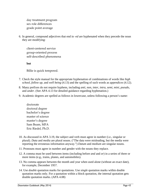day treatment program sex role differences grade point average

6. In general, compound adjectives that end in *-ed* are hyphenated when they precede the noun they are modifying:

client-centered service group-oriented process self-described phenomena

**but**

Billie is quick tempered.

- 7. Check the style manual for the appropriate hyphenation of combinations of words like *high school, follow up,* and *well being* (4.13) and the spelling of such words as *appendices* (4.12).
- 8. Many prefixes do not require hyphens, including *anti*, *non*, *inter*, *intra*, *semi*, *mini*, *pseudo*, and *under*. (See APA 4.13 for detailed guidance regarding hyphenation.)
- 9. Academic degrees are spelled as follows in lowercase, unless following a person's name:
	- doctorate doctoral degree bachelor's degree master of science master's degree Sam Beam, MFA Eric Riedel, Ph.D.
- 10. As discussed in APA 3.19, the subject and verb must agree in number (i.e., singular or plural). *Data* and *media* are plural nouns. ("The data were misleading, but the media were reporting the erroneous information anyway.") *Datum* and *medium* are singular nouns.
- 11. Pronouns must agree in number and gender with the nouns they replace.
- 12. A comma must be used between items (including before *and* and *or*) in a series of three or more items (e.g., trains, planes, and automobiles).
- 13. No comma appears between the month and year when used alone (without an exact date), for example, December 1957.
- 14. Use *double* quotation marks for quotations. Use *single* quotation marks within double quotation marks only. For a quotation within a block quotation, the internal quotation gets double quotation marks. (APA 4.08)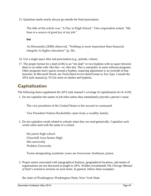15. Quotation marks nearly always go outside the final punctuation.

The title of the article was "A Day in High School." One respondent noted, "My boss is a source of great joy at my job."

**but**

As Hernandez (2008) observed, "Nothing is more important than financial integrity in higher education" (p. 26).

- 16. Use a single space after end punctuation (e.g., periods, colons).
- 17. The proper format for a dash (4.06) is an "em dash" or two hyphens with no space between them or on either side: like this—or--like that. This is automatic in some software programs. Other programs leave spaces around a hyphen, requiring adjustment or an override of that function: In Microsoft Word, use *Tools/AutoCorrect/AutoFormat as You Type.* Consult the APA style manual (p. 97) for more on dashes and hyphens.

### <span id="page-43-0"></span>**Capitalization**

The following items supplement the APA style manual's coverage of capitalization  $(4.14–4.20)$ :

1. Do not capitalize the names of job titles unless they immediately precede a person's name.

The vice president of the United States is the second in command.

Vice President Nelson Rockefeller came from a wealthy family.

2. Do not capitalize words related to schools when they are used generically. Capitalize such words when used with the name of a school.

the junior high school Churchill Area Senior High this university Walden University

Terms designating academic years are lowercase: freshman, junior.

3. Proper names associated with topographical features, geographical locations, and names of organizations are not discussed at length in APA. Walden recommends *The Chicago Manual of Style*'s extensive sections on such terms. In general, follow these examples:

the state of Washington; Washington State; New York State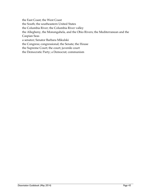the East Coast; the West Coast the South; the southeastern United States the Columbia River; the Columbia River valley the Allegheny, the Monongahela, and the Ohio Rivers; the Mediterranean and the Caspian Seas a senator; Senator Barbara Mikulski the Congress; congressional; the Senate; the House the Supreme Court; the court; juvenile court the Democratic Party; a Democrat; communism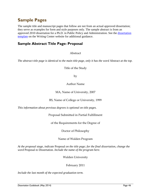### <span id="page-45-0"></span>**Sample Pages**

The sample title and manuscript pages that follow are not from an actual approved dissertation; they serve as examples for form and style purposes only. The sample abstract is from an approved 2010 dissertation for a Ph.D. in Public Policy and Administration. See the [dissertation](http://writingcenter.waldenu.edu/549.htm)  [template](http://writingcenter.waldenu.edu/549.htm) on the Writing Center website for additional guidance.

### **Sample Abstract Title Page: Proposal**

Abstract

*The abstract title page is identical to the main title page, only it has the word* Abstract *at the top.*

Title of the Study

by

Author Name

#### MA, Name of University, 2007

BS, Name of College or University, 1999

*This information about previous degrees is optional on title pages.*

Proposal Submitted in Partial Fulfillment

of the Requirements for the Degree of

Doctor of Philosophy

Name of Walden Program

*At the proposal stage, indicate* Proposal *on the title page; for the final dissertation, change the word* Proposal *to* Dissertation. *Include the name of the program here.*

Walden University

#### February 2011

*Include the last month of the expected graduation term.*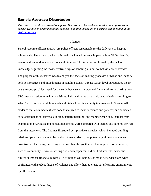### **Sample Abstract: Dissertation**

*The abstract should not exceed one page. The text must be double-spaced with no paragraph breaks. Details on writing both the proposal and final dissertation abstract can be found in the [abstract primer.](http://researchcenter.waldenu.edu/Abstract-Assistance-for-all-programs-with-research-capstones.htm)*

#### Abstract

School resource officers (SROs) are police officers responsible for the daily task of keeping schools safe. The extent to which this goal is achieved depends in part on how SROs identify, assess, and respond to student threats of violence. This task is complicated by the lack of knowledge regarding the most effective ways of handling a threat so that violence is avoided. The purpose of this research was to analyze the decision-making processes of SROs and identify both best practices and impediments in handling student threats. Street-level bureaucracy theory was the conceptual lens used for the study because it is a practical framework for analyzing how SROs use discretion in making decisions. This qualitative case study used criterion sampling to select 12 SROs from middle schools and high schools in a county in a western U.S. state. All evidence that contained text was coded; analyzed to identify themes and patterns; and subjected to data triangulation, external auditing, pattern matching, and member checking. Insights from examination of artifacts and nontext documents were compared with themes and patterns derived from the interviews. The findings illustrated best practice strategies, which included building relationships with students to learn about threats; identifying potentially violent students and proactively intervening; and using responses like the youth court that imposed consequences, such as community service or writing a research paper that did not hurt students' academic futures or impose financial burdens. The findings will help SROs make better decisions when confronted with student threats of violence and allow them to create safer learning environments for all students.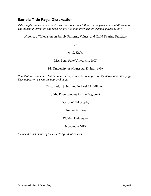### **Sample Title Page: Dissertation**

*This sample title page and the dissertation pages that follow are not from an actual dissertation. The student information and research are fictional, provided for example purposes only.*

Absence of Television on Family Patterns, Values, and Child-Rearing Practices

by

#### M. G. Krebs

#### MA, Penn State University, 2007

BS, University of Minnesota, Duluth, 1999

*Note that the committee chair's name and signature do not appear on the dissertation title pages. They appear on a separate approval page.*

#### Dissertation Submitted in Partial Fulfillment

of the Requirements for the Degree of

Doctor of Philosophy

Human Services

Walden University

November 2013

*Include the last month of the expected graduation term.*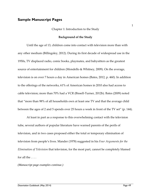#### **Sample Manuscript Pages**

#### Chapter 1: Introduction to the Study

#### **Background of the Study**

Until the age of 13, children come into contact with television more than with any other medium (Billingsley, 2012). During its first decade of widespread use in the 1950s, TV displaced radio, comic books, playmates, and babysitters as the greatest source of entertainment for children (Mondello & Whitney, 2009). On the average, television is on over 7 hours a day in American homes (Bates, 2012, p. 460). In addition to the offerings of the networks, 61% of American homes in 2010 also had access to cable television; more than 70% had a VCR (Bissell-Turner, 2012b). Bates (2009) noted that "more than 98% of all households own at least one TV and that the average child between the ages of 2 and 5 spends over 25 hours a week in front of the TV set" (p. 144).

At least in part as a response to this overwhelming contact with the television tube, several authors of popular literature have warned parents of the perils of television, and in two cases proposed either the total or temporary elimination of television from people's lives. Mander (1978) suggested in his *Four Arguments for the Elimination of Television* that television, for the most part, cannot be completely blamed for all the . . . .

*(Manuscript page examples continue.)*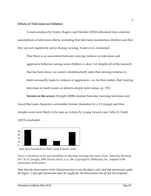#### **Effects of Television on Children**

A meta-analysis by Foster, Rogers, and Hensler (2010) debunked nine common assumptions of television effects, including that television mesmerizes children and that they are not cognitively active during viewing. Foster et al. concluded:

That there is an association between viewing violence on television and aggressive behavior among some children is clear. Yet despite all of the research that has been done, we cannot wholeheartedly state that viewing violence in itself necessarily leads to violence or aggression—or, for that matter, that viewing television in itself creates or distorts deeply held values. (p. 192)

**Sexism on the screen.** Doright (2008) studied Saturday morning television and found that male characters outnumber female characters by a 5:1 margin and that females were more likely to be seen as victims by young viewers (see Table 2). Fudd (2013) concluded . . . .





*Figure 2*. Incidence of sex role identifiers on Saturday morning television. From "Saturday Morning Sex" by D. Doright, 2008, *Popular Media, 4,* p. 198. Copyright by PMStudies, Inc. Adapted with permission of the author.

*Note that the dissertation writer had permission to use the figure and cited that permission under the figure. Copyright permission must be sought for the dissertation but not for the proposal.*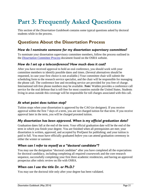# <span id="page-50-0"></span>**Part 3: Frequently Asked Questions**

This section of the *Dissertation Guidebook* contains some typical questions asked by doctoral students while in the process.

### <span id="page-50-1"></span>**Questions About the Dissertation Process**

#### *How do I nominate someone for my dissertation supervisory committee?*

To nominate your dissertation supervisory committee members, follow the process outlined in the *[Dissertation Committee Process](http://researchcenter.waldenu.edu/PhD-Dissertation-Process-and-Documents.htm)* document found on the OSRA website.

#### *How do I set up a teleconference? How much does it cost?*

After you have received approval to hold an oral conference, you should work with your committee members to identify possible dates and times. (Several alternatives should be requested, in case your first choice is not available.) Your committee chair will submit the scheduling form to the research service specialist, and the chair will be responsible for managing the phone call. The conference line and recording service are provided for you free of charge. International toll-free phone numbers may be available. *Note:* Walden provides a conference call service for the oral defense that is toll-free for most countries outside the United States. Students living in areas outside this coverage will be responsible for toll charges associated with this call.

#### *At what point does tuition stop?*

Tuition stops when your dissertation is approved by the CAO (or designee). If you receive approval within the first 7 days of a term, you are not charged tuition for that term. If you receive approval later in the term, you will be charged prorated tuition.

#### *My dissertation has been approved. When is my official graduation date?*

Graduation dates fall at the end of the term. Your official graduation date will be the end of the term in which you finish your degree. You are finished when all prerequisites are met; your dissertation is written, approved, and accepted by ProQuest for publishing; and your tuition is paid in full. You must have officially graduated *before* you can attend graduation ceremony in either the winter or summer.

#### *When can I refer to myself as a "doctoral candidate"?*

You may use the designation "doctoral candidate" after you have completed all the expectations for doctoral candidacy, including completing all required coursework and the core research sequence, successfully completing your first three academic residencies, and having an approved prospectus after rubric review on file with OSRA.

#### *When can I use the title Dr. or Ph.D.?*

You may use the doctoral title only after your degree has been validated.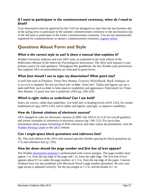#### *If I want to participate in the commencement ceremony, when do I need to finish?*

Your dissertation must be approved by the CAO (or designee) no later than the last business day of the spring term to participate in the summer commencement ceremony or the last business day of the fall term to participate in the winter commencement ceremony. You are not automatically registered for commencement; to attend a commencement ceremony, [register online.](http://www.mywaldenalumni.com/s/1277/commencement/index.aspx?sid=1277&gid=1&pgid=458)

### <span id="page-51-0"></span>**Questions About Form and Style**

#### *What is the correct style to use? Is there a manual that explains it?*

Walden University endorses and uses APA style, as explained in the sixth edition of the *Publication Manual of the American Psychological Association*. The APA style manual is your primary source for style guidance. Throughout this guidebook, the few Walden style preferences that supplant APA recommendations are indicated in green boxes.

#### *What font should I use to type my dissertation? What point size?*

A serif font such as Palatino, Times New Roman, Century Schoolbook, Book Antiqua, or Garamond is required. Do not use Courier or New Courier. Tables and figures can use a sans serif font, such as Arial, to help improve readability and appearance. Particularly for Times New Roman, 12-point font size is preferred. (APA pp. 228–229).

#### *Which is right: italics or underlines? Can I use bold?*

Italics are correct, rather than underlines. Use bold only in heading levels (APA 3.03), for certain mathematical copy (APA 4.45), and in tables and figures, sparingly, to improve readability.

#### *How do I format citations of electronic sources?*

APA changed its rules for electronic citations in 2009. See APA 6.31–6.32 for overall guidance and review examples of references to electronic sources (pp. 198–215). For up-to-date information about proper formatting of Web references and other online documentation, visit the [Walden Writing Center](http://writingcenter.waldenu.edu/355.htm) or the [APA](http://www.apastyle.org/) website.

#### *Can I single-space block quotations and reference lists?*

No. The sixth edition of the APA style manual specifies double-spacing for block quotations (p. 171) and reference lists (p. 229).

#### *How far down should the page number and first line of text appear?*

The Walden [dissertation template](http://writingcenter.waldenu.edu/549.htm) is preformatted with correct margins. The page number must appear 1 in. from the top edge of the page and 1 in. from the right edge. The first line of text appears about 0.3 in. under the page number, or 1.3 in. from the top edge of the paper. Caution: Students have run into problems with Microsoft Word's page number placement. Be sure your page layout is adjusted correctly. Set the top margin to 1.3 in. and the header to 1 in.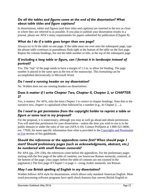#### *Do all the tables and figures come at the end of the dissertation? What about table titles and figure captions?*

In dissertations, tables and figures (and their titles and captions) are inserted in the text as close to where they are referred to as possible. If you plan to publish your dissertation results in a journal, please see APA's many requirements for papers submitted for publication (Chapter 8).

#### *What do I do if a table goes longer than one page?*

Always try to fit the table on one page. If the table must run over onto the subsequent page, type the phrase *table continues* in parentheses flush right at the bottom of the table on the first page. Repeat the column headings, but not the table number or title, at the top of the subsequent page.

#### *If including a long table or figure, can I format it in landscape instead of portrait?*

Yes. The "top" of the page needs to have a margin of 1.5 in. to allow for binding. The page number is placed in the same spot as the rest of the manuscript. This formatting can be accomplished electronically in Microsoft Word.

#### *Do I need a running header on my dissertation?*

No. Walden does not use running headers on dissertations.

#### *Does it matter if I write Chapter Two, Chapter II, Chapter 2, or CHAPTER 2?*

Yes, it matters. Per APA, only the form *Chapter 2* is correct in chapter headings. Note that in the narrative text, *chapter* is capitalized when followed by a number (e.g., In Chapter 2, ...).

#### *Do I need to get permission from the copyright holder to reprint a table or figure or some text in my proposal?*

For the proposal, it is unnecessary, although you may as well go ahead and obtain permission. You will need that permission for your dissertation—unless the item you wish to use is in the public domain or under the rules of fair use (APA 6.10). Contact ProQuest at 1-800-521-0600, ext. 77020, for more specific information than what is provided in the Copyrights and Permission [to Use](#page-29-0) section of this guidebook.

#### *Should the references or the appendices come first? When should page 1 start? Should preliminary pages (such as acknowledgments, abstract, etc.) be numbered with small Roman numerals?*

Per APA (pp. 229–230), the references come before the appendices. For the preliminary pages starting with the first page of the table of contents, use lowercase Roman numerals, centered, at the bottom of the page. (Any pages before the table of contents are not counted in the pagination.) The first page of Chapter 1 is page 1—using Arabic numerals, not Roman.

#### *May I use British spelling of English in my dissertation?*

Walden follows APA style for dissertations, which allows only standard American English. Most word-processing software programs have spell-check features that convert British English to